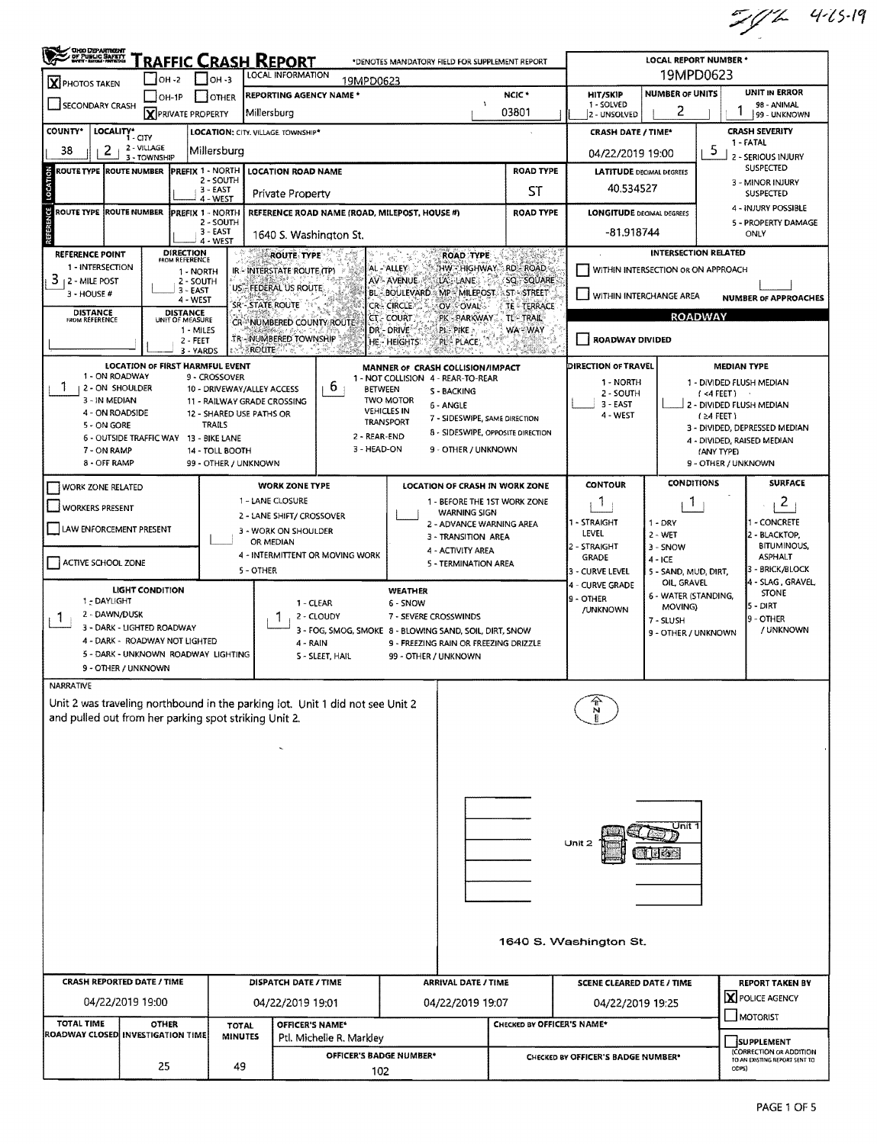$7/7$  415.19

| 19MPD0623<br>LOCAL INFORMATION<br>$\overline{\phantom{0}}$ OH -2<br>$IOH - 3$<br>19MPD0623<br>X PHOTOS TAKEN<br>UNIT IN ERROR<br><b>NUMBER OF UNITS</b><br>NCIC <sup>*</sup><br>HIT/SKIP<br><b>REPORTING AGENCY NAME*</b><br>$\blacksquare$ OH-1P<br><b>OTHER</b><br>1 - SOLVED<br>SECONDARY CRASH<br>98 - ANIMAL<br>$\lambda$<br>2<br><b>X</b> PRIVATE PROPERTY<br>03801<br>Millersburg<br>2 - UNSOLVED<br>99 - UNKNOWN<br><b>CRASH SEVERITY</b><br>LOCALITY* CITY<br>LOCATION: CITY. VILLAGE. TOWNSHIP*<br><b>CRASH DATE / TIME*</b><br>1 - FATAL<br>2 - VILLAGE<br>2<br>5<br>38<br>Millersburg<br>04/22/2019 19:00<br>2 - SERIOUS INJURY<br>3 - TOWNSHIP<br><b>SUSPECTED</b><br><b>ROAD TYPE</b><br>ROUTE TYPE ROUTE NUMBER<br>PREFIX 1 - NORTH<br><b>LOCATION ROAD NAME</b><br><b>LATITUDE DECIMAL DEGREES</b><br>2 - SOUTH<br>3 - MINOR INJURY<br>40.534527<br>$3 - EAST$<br>ST<br><b>Private Property</b><br><b>SUSPECTED</b><br>4 - WEST<br>4 - INJURY POSSIBLE<br>ROUTE TYPE ROUTE NUMBER<br>PREFIX 1 - NORTH<br>REFERENCE ROAD NAME (ROAD, MILEPOST, HOUSE #)<br><b>ROAD TYPE</b><br><b>LONGITUDE DECIMAL DEGREES</b><br>2 - SOUTH<br>5 - PROPERTY DAMAGE<br>$3 - EAST$<br>-81.918744<br>ONLY<br>1640 S. Washington St.<br>$4 - WEST$<br><b>DIRECTION</b><br>FROM REFERENCE<br><b>INTERSECTION RELATED</b><br><b>REFERENCE POINT</b><br><b>ROAD TYPE</b><br><b>ROUTE TYPE</b><br>1 - INTERSECTION<br><b>RD-ROAD</b><br>AL - ALLEY<br>HW - HIGHWAY<br>WITHIN INTERSECTION OR ON APPROACH<br>IR - INTERSTATE ROUTE (TP)<br>1 - NORTH<br>3<br>AV-AVENUE<br>SQ SQUARE<br>  2 - MILE POST<br>LA's LANE<br>2 - SOUTH<br><b>US EFEDERAL US ROUTE</b><br>$3 - FAST$<br><b>BL-BOULEVARD</b><br>MP MILEPOST ST-STREET<br>3 - HOUSE #<br>WITHIN INTERCHANGE AREA<br><b>NUMBER OF APPROACHES</b><br>4 - WEST<br>SR - STATE ROUTE<br><b>CR-CIRCLE</b><br>OV - OVAL<br><b>TE - TERRACE</b><br><b>DISTANCE</b><br>FROM REFERENCE<br>DISTANCE<br>UNIT OF MEASURE<br><b>ROADWAY</b><br><b>CT - COURT</b><br>PK - PARKWAY<br>TL-TRAIL<br>CR NUMBERED COUNTY ROUTE<br>DR - DRIVE<br>WA - WAY<br>1 - MILES<br>ple pike ».<br><b>TR-NUMBERED TOWNSHIP</b><br>ROADWAY DIVIDED<br>2 - FEET<br>HE - HEIGHTS<br>PL-PLACE.<br>$\geq$ 3 ROUTE<br>3 - YARDS<br><b>LOCATION OF FIRST HARMFUL EVENT</b><br>DIRECTION OF TRAVEL<br><b>MEDIAN TYPE</b><br>MANNER OF CRASH COLLISION/IMPACT<br>1 - ON ROADWAY<br>9 - CROSSOVER<br>1 - NOT COLLISION 4 - REAR-TO-REAR<br>1 - NORTH<br>1 - DIVIDED FLUSH MEDIAN<br>b<br>2 - ON SHOULDER<br><b>BETWEEN</b><br>10 - DRIVEWAY/ALLEY ACCESS<br>S - BACKING<br>2 - SOUTH<br>$($ <4 FEET ) $\qquad$<br>3 - IN MEDIAN<br>TWO MOTOR<br>11 - RAILWAY GRADE CROSSING<br>3 - EAST<br>2 - DIVIDED FLUSH MEDIAN<br>6 - ANGLE<br><b>VEHICLES IN</b><br>4 - ON ROADSIDE<br>12 - SHARED USE PATHS OR<br>4 - WEST<br>$(24$ FEET)<br>7 - SIDESWIPE, SAME DIRECTION<br><b>TRANSPORT</b><br><b>TRAILS</b><br>5 - ON GORE<br>3 - DIVIDED, DEPRESSED MEDIAN<br>8 - SIDESWIPE, OPPOSITE DIRECTION<br>2 - REAR-END<br>6 - OUTSIDE TRAFFIC WAY 13 - BIKE LANE<br>4 - DIVIDED, RAISED MEDIAN<br>3 - HEAD-ON<br>9 - OTHER / UNKNOWN<br>7 - ON RAMP<br>14 - TOLL BOOTH<br>(ANY TYPE)<br>8 - OFF RAMP<br>99 - OTHER / UNKNOWN<br>9 - OTHER / UNKNOWN<br><b>SURFACE</b><br><b>CONDITIONS</b><br><b>CONTOUR</b><br><b>WORK ZONE TYPE</b><br><b>LOCATION OF CRASH IN WORK ZONE</b><br>WORK ZONE RELATED<br>1 - LANE CLOSURE<br>2<br>1 - BEFORE THE 1ST WORK ZONE<br>1<br>Т.<br><b>WORKERS PRESENT</b><br><b>WARNING SIGN</b><br>2 - LANE SHIFT/ CROSSOVER<br>1 - STRAIGHT<br>- CONCRETE<br>$1 - DRY$<br>2 - ADVANCE WARNING AREA<br>LAW ENFORCEMENT PRESENT<br>3 - WORK ON SHOULDER<br>LEVEL<br>$2 - WET$<br>2 - BLACKTOP,<br>3 - TRANSITION AREA<br>OR MEDIAN<br><b>BITUMINOUS,</b><br>2 - STRAIGHT<br>$3 -$ SNOW<br>4 - ACTIVITY AREA<br>4 - INTERMITTENT OR MOVING WORK<br><b>ASPHALT</b><br><b>GRADE</b><br>$4 - ICE$<br>ACTIVE SCHOOL ZONE<br>5 - TERMINATION AREA<br>3 - BRICK/BLOCK<br>5 - OTHER<br>3 - CURVE LEVEL<br>5 - SAND, MUD, DIRT,<br>4 - SLAG, GRAVEL,<br>OIL GRAVEL<br>4 - CURVE GRADE<br><b>LIGHT CONDITION</b><br><b>WEATHER</b><br><b>STONE</b><br>6 - WATER (STANDING,<br>9 - OTHER<br>1 - DAYLIGHT<br>1 - CLEAR<br>6 - SNOW<br>5 - DIRT<br>MOVING)<br>/UNKNOWN<br>2 - DAWN/DUSK<br>2 - CLOUDY<br>7 - SEVERE CROSSWINDS<br>9 - OTHER<br>$\mathbf{I}$<br>7 - SLUSH<br>3 - DARK - LIGHTED ROADWAY<br>/ UNKNOWN<br>3 - FOG, SMOG, SMOKE 8 - BLOWING SAND, SOIL, DIRT, SNOW<br>9 - OTHER / UNKNOWN<br>4 - DARK - ROADWAY NOT LIGHTED<br>4 - RAIN<br>9 - FREEZING RAIN OR FREEZING DRIZZLE<br>5 - DARK - UNKNOWN ROADWAY LIGHTING<br>S - SLEET, HAIL<br>99 - OTHER / UNKNOWN<br>9 - OTHER / UNKNOWN<br>NARRATIVE<br>Unit 2 was traveling northbound in the parking lot. Unit 1 did not see Unit 2<br>and pulled out from her parking spot striking Unit 2.<br>Unit 1<br>Unit $2$<br>1640 S. Washington St.<br><b>CRASH REPORTED DATE / TIME</b><br>DISPATCH DATE / TIME<br><b>ARRIVAL DATE / TIME</b><br><b>SCENE CLEARED DATE / TIME</b><br><b>REPORT TAKEN BY</b><br>X POLICE AGENCY<br>04/22/2019 19:00<br>04/22/2019 19:01<br>04/22/2019 19:07<br>04/22/2019 19:25<br>MOTORIST<br>TOTAL TIME<br>CHECKED BY OFFICER'S NAME*<br><b>OTHER</b><br>OFFICER'S NAME*<br>TOTAL<br>ROADWAY CLOSED INVESTIGATION TIME<br><b>MINUTES</b><br>Ptl. Michelle R. Markley<br>SUPPLEMENT<br>(CORRECTION OR ADDITION<br><b>OFFICER'S BADGE NUMBER*</b><br>CHECKED BY OFFICER'S BADGE NUMBER*<br>TO AN EXISTING REPORT SENT TO<br>25<br>49<br>ODPS)<br>102 | <b>CHOODEPARTMENT</b><br>OF PUBLIC SAFETY |  |  | RAFFIC CRASH REPORT |  | *DENOTES MANDATORY FIELD FOR SUPPLEMENT REPORT |  |  |  | <b>LOCAL REPORT NUMBER *</b> |  |  |  |  |  |
|----------------------------------------------------------------------------------------------------------------------------------------------------------------------------------------------------------------------------------------------------------------------------------------------------------------------------------------------------------------------------------------------------------------------------------------------------------------------------------------------------------------------------------------------------------------------------------------------------------------------------------------------------------------------------------------------------------------------------------------------------------------------------------------------------------------------------------------------------------------------------------------------------------------------------------------------------------------------------------------------------------------------------------------------------------------------------------------------------------------------------------------------------------------------------------------------------------------------------------------------------------------------------------------------------------------------------------------------------------------------------------------------------------------------------------------------------------------------------------------------------------------------------------------------------------------------------------------------------------------------------------------------------------------------------------------------------------------------------------------------------------------------------------------------------------------------------------------------------------------------------------------------------------------------------------------------------------------------------------------------------------------------------------------------------------------------------------------------------------------------------------------------------------------------------------------------------------------------------------------------------------------------------------------------------------------------------------------------------------------------------------------------------------------------------------------------------------------------------------------------------------------------------------------------------------------------------------------------------------------------------------------------------------------------------------------------------------------------------------------------------------------------------------------------------------------------------------------------------------------------------------------------------------------------------------------------------------------------------------------------------------------------------------------------------------------------------------------------------------------------------------------------------------------------------------------------------------------------------------------------------------------------------------------------------------------------------------------------------------------------------------------------------------------------------------------------------------------------------------------------------------------------------------------------------------------------------------------------------------------------------------------------------------------------------------------------------------------------------------------------------------------------------------------------------------------------------------------------------------------------------------------------------------------------------------------------------------------------------------------------------------------------------------------------------------------------------------------------------------------------------------------------------------------------------------------------------------------------------------------------------------------------------------------------------------------------------------------------------------------------------------------------------------------------------------------------------------------------------------------------------------------------------------------------------------------------------------------------------------------------------------------------------------------------------------------------------------------------------------------------------------------------------------------------------------------------------------------------------------------------------------------------------------------------------------------------------------------------------------------------------------------------------------------------------------------------------------------------------------------------------------------------------------------------------------------------------------------------------------------------------------------------------------------------------------------------------------------------------------------------------------------------------------------------------------------------------------------------------------------------------------------------------------------------------|-------------------------------------------|--|--|---------------------|--|------------------------------------------------|--|--|--|------------------------------|--|--|--|--|--|
|                                                                                                                                                                                                                                                                                                                                                                                                                                                                                                                                                                                                                                                                                                                                                                                                                                                                                                                                                                                                                                                                                                                                                                                                                                                                                                                                                                                                                                                                                                                                                                                                                                                                                                                                                                                                                                                                                                                                                                                                                                                                                                                                                                                                                                                                                                                                                                                                                                                                                                                                                                                                                                                                                                                                                                                                                                                                                                                                                                                                                                                                                                                                                                                                                                                                                                                                                                                                                                                                                                                                                                                                                                                                                                                                                                                                                                                                                                                                                                                                                                                                                                                                                                                                                                                                                                                                                                                                                                                                                                                                                                                                                                                                                                                                                                                                                                                                                                                                                                                                                                                                                                                                                                                                                                                                                                                                                                                                                                                                                                                                                    |                                           |  |  |                     |  |                                                |  |  |  |                              |  |  |  |  |  |
|                                                                                                                                                                                                                                                                                                                                                                                                                                                                                                                                                                                                                                                                                                                                                                                                                                                                                                                                                                                                                                                                                                                                                                                                                                                                                                                                                                                                                                                                                                                                                                                                                                                                                                                                                                                                                                                                                                                                                                                                                                                                                                                                                                                                                                                                                                                                                                                                                                                                                                                                                                                                                                                                                                                                                                                                                                                                                                                                                                                                                                                                                                                                                                                                                                                                                                                                                                                                                                                                                                                                                                                                                                                                                                                                                                                                                                                                                                                                                                                                                                                                                                                                                                                                                                                                                                                                                                                                                                                                                                                                                                                                                                                                                                                                                                                                                                                                                                                                                                                                                                                                                                                                                                                                                                                                                                                                                                                                                                                                                                                                                    |                                           |  |  |                     |  |                                                |  |  |  |                              |  |  |  |  |  |
|                                                                                                                                                                                                                                                                                                                                                                                                                                                                                                                                                                                                                                                                                                                                                                                                                                                                                                                                                                                                                                                                                                                                                                                                                                                                                                                                                                                                                                                                                                                                                                                                                                                                                                                                                                                                                                                                                                                                                                                                                                                                                                                                                                                                                                                                                                                                                                                                                                                                                                                                                                                                                                                                                                                                                                                                                                                                                                                                                                                                                                                                                                                                                                                                                                                                                                                                                                                                                                                                                                                                                                                                                                                                                                                                                                                                                                                                                                                                                                                                                                                                                                                                                                                                                                                                                                                                                                                                                                                                                                                                                                                                                                                                                                                                                                                                                                                                                                                                                                                                                                                                                                                                                                                                                                                                                                                                                                                                                                                                                                                                                    |                                           |  |  |                     |  |                                                |  |  |  |                              |  |  |  |  |  |
|                                                                                                                                                                                                                                                                                                                                                                                                                                                                                                                                                                                                                                                                                                                                                                                                                                                                                                                                                                                                                                                                                                                                                                                                                                                                                                                                                                                                                                                                                                                                                                                                                                                                                                                                                                                                                                                                                                                                                                                                                                                                                                                                                                                                                                                                                                                                                                                                                                                                                                                                                                                                                                                                                                                                                                                                                                                                                                                                                                                                                                                                                                                                                                                                                                                                                                                                                                                                                                                                                                                                                                                                                                                                                                                                                                                                                                                                                                                                                                                                                                                                                                                                                                                                                                                                                                                                                                                                                                                                                                                                                                                                                                                                                                                                                                                                                                                                                                                                                                                                                                                                                                                                                                                                                                                                                                                                                                                                                                                                                                                                                    | <b>COUNTY*</b>                            |  |  |                     |  |                                                |  |  |  |                              |  |  |  |  |  |
|                                                                                                                                                                                                                                                                                                                                                                                                                                                                                                                                                                                                                                                                                                                                                                                                                                                                                                                                                                                                                                                                                                                                                                                                                                                                                                                                                                                                                                                                                                                                                                                                                                                                                                                                                                                                                                                                                                                                                                                                                                                                                                                                                                                                                                                                                                                                                                                                                                                                                                                                                                                                                                                                                                                                                                                                                                                                                                                                                                                                                                                                                                                                                                                                                                                                                                                                                                                                                                                                                                                                                                                                                                                                                                                                                                                                                                                                                                                                                                                                                                                                                                                                                                                                                                                                                                                                                                                                                                                                                                                                                                                                                                                                                                                                                                                                                                                                                                                                                                                                                                                                                                                                                                                                                                                                                                                                                                                                                                                                                                                                                    |                                           |  |  |                     |  |                                                |  |  |  |                              |  |  |  |  |  |
|                                                                                                                                                                                                                                                                                                                                                                                                                                                                                                                                                                                                                                                                                                                                                                                                                                                                                                                                                                                                                                                                                                                                                                                                                                                                                                                                                                                                                                                                                                                                                                                                                                                                                                                                                                                                                                                                                                                                                                                                                                                                                                                                                                                                                                                                                                                                                                                                                                                                                                                                                                                                                                                                                                                                                                                                                                                                                                                                                                                                                                                                                                                                                                                                                                                                                                                                                                                                                                                                                                                                                                                                                                                                                                                                                                                                                                                                                                                                                                                                                                                                                                                                                                                                                                                                                                                                                                                                                                                                                                                                                                                                                                                                                                                                                                                                                                                                                                                                                                                                                                                                                                                                                                                                                                                                                                                                                                                                                                                                                                                                                    |                                           |  |  |                     |  |                                                |  |  |  |                              |  |  |  |  |  |
|                                                                                                                                                                                                                                                                                                                                                                                                                                                                                                                                                                                                                                                                                                                                                                                                                                                                                                                                                                                                                                                                                                                                                                                                                                                                                                                                                                                                                                                                                                                                                                                                                                                                                                                                                                                                                                                                                                                                                                                                                                                                                                                                                                                                                                                                                                                                                                                                                                                                                                                                                                                                                                                                                                                                                                                                                                                                                                                                                                                                                                                                                                                                                                                                                                                                                                                                                                                                                                                                                                                                                                                                                                                                                                                                                                                                                                                                                                                                                                                                                                                                                                                                                                                                                                                                                                                                                                                                                                                                                                                                                                                                                                                                                                                                                                                                                                                                                                                                                                                                                                                                                                                                                                                                                                                                                                                                                                                                                                                                                                                                                    |                                           |  |  |                     |  |                                                |  |  |  |                              |  |  |  |  |  |
|                                                                                                                                                                                                                                                                                                                                                                                                                                                                                                                                                                                                                                                                                                                                                                                                                                                                                                                                                                                                                                                                                                                                                                                                                                                                                                                                                                                                                                                                                                                                                                                                                                                                                                                                                                                                                                                                                                                                                                                                                                                                                                                                                                                                                                                                                                                                                                                                                                                                                                                                                                                                                                                                                                                                                                                                                                                                                                                                                                                                                                                                                                                                                                                                                                                                                                                                                                                                                                                                                                                                                                                                                                                                                                                                                                                                                                                                                                                                                                                                                                                                                                                                                                                                                                                                                                                                                                                                                                                                                                                                                                                                                                                                                                                                                                                                                                                                                                                                                                                                                                                                                                                                                                                                                                                                                                                                                                                                                                                                                                                                                    |                                           |  |  |                     |  |                                                |  |  |  |                              |  |  |  |  |  |
|                                                                                                                                                                                                                                                                                                                                                                                                                                                                                                                                                                                                                                                                                                                                                                                                                                                                                                                                                                                                                                                                                                                                                                                                                                                                                                                                                                                                                                                                                                                                                                                                                                                                                                                                                                                                                                                                                                                                                                                                                                                                                                                                                                                                                                                                                                                                                                                                                                                                                                                                                                                                                                                                                                                                                                                                                                                                                                                                                                                                                                                                                                                                                                                                                                                                                                                                                                                                                                                                                                                                                                                                                                                                                                                                                                                                                                                                                                                                                                                                                                                                                                                                                                                                                                                                                                                                                                                                                                                                                                                                                                                                                                                                                                                                                                                                                                                                                                                                                                                                                                                                                                                                                                                                                                                                                                                                                                                                                                                                                                                                                    |                                           |  |  |                     |  |                                                |  |  |  |                              |  |  |  |  |  |
|                                                                                                                                                                                                                                                                                                                                                                                                                                                                                                                                                                                                                                                                                                                                                                                                                                                                                                                                                                                                                                                                                                                                                                                                                                                                                                                                                                                                                                                                                                                                                                                                                                                                                                                                                                                                                                                                                                                                                                                                                                                                                                                                                                                                                                                                                                                                                                                                                                                                                                                                                                                                                                                                                                                                                                                                                                                                                                                                                                                                                                                                                                                                                                                                                                                                                                                                                                                                                                                                                                                                                                                                                                                                                                                                                                                                                                                                                                                                                                                                                                                                                                                                                                                                                                                                                                                                                                                                                                                                                                                                                                                                                                                                                                                                                                                                                                                                                                                                                                                                                                                                                                                                                                                                                                                                                                                                                                                                                                                                                                                                                    |                                           |  |  |                     |  |                                                |  |  |  |                              |  |  |  |  |  |
|                                                                                                                                                                                                                                                                                                                                                                                                                                                                                                                                                                                                                                                                                                                                                                                                                                                                                                                                                                                                                                                                                                                                                                                                                                                                                                                                                                                                                                                                                                                                                                                                                                                                                                                                                                                                                                                                                                                                                                                                                                                                                                                                                                                                                                                                                                                                                                                                                                                                                                                                                                                                                                                                                                                                                                                                                                                                                                                                                                                                                                                                                                                                                                                                                                                                                                                                                                                                                                                                                                                                                                                                                                                                                                                                                                                                                                                                                                                                                                                                                                                                                                                                                                                                                                                                                                                                                                                                                                                                                                                                                                                                                                                                                                                                                                                                                                                                                                                                                                                                                                                                                                                                                                                                                                                                                                                                                                                                                                                                                                                                                    |                                           |  |  |                     |  |                                                |  |  |  |                              |  |  |  |  |  |
|                                                                                                                                                                                                                                                                                                                                                                                                                                                                                                                                                                                                                                                                                                                                                                                                                                                                                                                                                                                                                                                                                                                                                                                                                                                                                                                                                                                                                                                                                                                                                                                                                                                                                                                                                                                                                                                                                                                                                                                                                                                                                                                                                                                                                                                                                                                                                                                                                                                                                                                                                                                                                                                                                                                                                                                                                                                                                                                                                                                                                                                                                                                                                                                                                                                                                                                                                                                                                                                                                                                                                                                                                                                                                                                                                                                                                                                                                                                                                                                                                                                                                                                                                                                                                                                                                                                                                                                                                                                                                                                                                                                                                                                                                                                                                                                                                                                                                                                                                                                                                                                                                                                                                                                                                                                                                                                                                                                                                                                                                                                                                    |                                           |  |  |                     |  |                                                |  |  |  |                              |  |  |  |  |  |
|                                                                                                                                                                                                                                                                                                                                                                                                                                                                                                                                                                                                                                                                                                                                                                                                                                                                                                                                                                                                                                                                                                                                                                                                                                                                                                                                                                                                                                                                                                                                                                                                                                                                                                                                                                                                                                                                                                                                                                                                                                                                                                                                                                                                                                                                                                                                                                                                                                                                                                                                                                                                                                                                                                                                                                                                                                                                                                                                                                                                                                                                                                                                                                                                                                                                                                                                                                                                                                                                                                                                                                                                                                                                                                                                                                                                                                                                                                                                                                                                                                                                                                                                                                                                                                                                                                                                                                                                                                                                                                                                                                                                                                                                                                                                                                                                                                                                                                                                                                                                                                                                                                                                                                                                                                                                                                                                                                                                                                                                                                                                                    |                                           |  |  |                     |  |                                                |  |  |  |                              |  |  |  |  |  |
|                                                                                                                                                                                                                                                                                                                                                                                                                                                                                                                                                                                                                                                                                                                                                                                                                                                                                                                                                                                                                                                                                                                                                                                                                                                                                                                                                                                                                                                                                                                                                                                                                                                                                                                                                                                                                                                                                                                                                                                                                                                                                                                                                                                                                                                                                                                                                                                                                                                                                                                                                                                                                                                                                                                                                                                                                                                                                                                                                                                                                                                                                                                                                                                                                                                                                                                                                                                                                                                                                                                                                                                                                                                                                                                                                                                                                                                                                                                                                                                                                                                                                                                                                                                                                                                                                                                                                                                                                                                                                                                                                                                                                                                                                                                                                                                                                                                                                                                                                                                                                                                                                                                                                                                                                                                                                                                                                                                                                                                                                                                                                    |                                           |  |  |                     |  |                                                |  |  |  |                              |  |  |  |  |  |
|                                                                                                                                                                                                                                                                                                                                                                                                                                                                                                                                                                                                                                                                                                                                                                                                                                                                                                                                                                                                                                                                                                                                                                                                                                                                                                                                                                                                                                                                                                                                                                                                                                                                                                                                                                                                                                                                                                                                                                                                                                                                                                                                                                                                                                                                                                                                                                                                                                                                                                                                                                                                                                                                                                                                                                                                                                                                                                                                                                                                                                                                                                                                                                                                                                                                                                                                                                                                                                                                                                                                                                                                                                                                                                                                                                                                                                                                                                                                                                                                                                                                                                                                                                                                                                                                                                                                                                                                                                                                                                                                                                                                                                                                                                                                                                                                                                                                                                                                                                                                                                                                                                                                                                                                                                                                                                                                                                                                                                                                                                                                                    |                                           |  |  |                     |  |                                                |  |  |  |                              |  |  |  |  |  |
|                                                                                                                                                                                                                                                                                                                                                                                                                                                                                                                                                                                                                                                                                                                                                                                                                                                                                                                                                                                                                                                                                                                                                                                                                                                                                                                                                                                                                                                                                                                                                                                                                                                                                                                                                                                                                                                                                                                                                                                                                                                                                                                                                                                                                                                                                                                                                                                                                                                                                                                                                                                                                                                                                                                                                                                                                                                                                                                                                                                                                                                                                                                                                                                                                                                                                                                                                                                                                                                                                                                                                                                                                                                                                                                                                                                                                                                                                                                                                                                                                                                                                                                                                                                                                                                                                                                                                                                                                                                                                                                                                                                                                                                                                                                                                                                                                                                                                                                                                                                                                                                                                                                                                                                                                                                                                                                                                                                                                                                                                                                                                    |                                           |  |  |                     |  |                                                |  |  |  |                              |  |  |  |  |  |
|                                                                                                                                                                                                                                                                                                                                                                                                                                                                                                                                                                                                                                                                                                                                                                                                                                                                                                                                                                                                                                                                                                                                                                                                                                                                                                                                                                                                                                                                                                                                                                                                                                                                                                                                                                                                                                                                                                                                                                                                                                                                                                                                                                                                                                                                                                                                                                                                                                                                                                                                                                                                                                                                                                                                                                                                                                                                                                                                                                                                                                                                                                                                                                                                                                                                                                                                                                                                                                                                                                                                                                                                                                                                                                                                                                                                                                                                                                                                                                                                                                                                                                                                                                                                                                                                                                                                                                                                                                                                                                                                                                                                                                                                                                                                                                                                                                                                                                                                                                                                                                                                                                                                                                                                                                                                                                                                                                                                                                                                                                                                                    |                                           |  |  |                     |  |                                                |  |  |  |                              |  |  |  |  |  |
|                                                                                                                                                                                                                                                                                                                                                                                                                                                                                                                                                                                                                                                                                                                                                                                                                                                                                                                                                                                                                                                                                                                                                                                                                                                                                                                                                                                                                                                                                                                                                                                                                                                                                                                                                                                                                                                                                                                                                                                                                                                                                                                                                                                                                                                                                                                                                                                                                                                                                                                                                                                                                                                                                                                                                                                                                                                                                                                                                                                                                                                                                                                                                                                                                                                                                                                                                                                                                                                                                                                                                                                                                                                                                                                                                                                                                                                                                                                                                                                                                                                                                                                                                                                                                                                                                                                                                                                                                                                                                                                                                                                                                                                                                                                                                                                                                                                                                                                                                                                                                                                                                                                                                                                                                                                                                                                                                                                                                                                                                                                                                    |                                           |  |  |                     |  |                                                |  |  |  |                              |  |  |  |  |  |
|                                                                                                                                                                                                                                                                                                                                                                                                                                                                                                                                                                                                                                                                                                                                                                                                                                                                                                                                                                                                                                                                                                                                                                                                                                                                                                                                                                                                                                                                                                                                                                                                                                                                                                                                                                                                                                                                                                                                                                                                                                                                                                                                                                                                                                                                                                                                                                                                                                                                                                                                                                                                                                                                                                                                                                                                                                                                                                                                                                                                                                                                                                                                                                                                                                                                                                                                                                                                                                                                                                                                                                                                                                                                                                                                                                                                                                                                                                                                                                                                                                                                                                                                                                                                                                                                                                                                                                                                                                                                                                                                                                                                                                                                                                                                                                                                                                                                                                                                                                                                                                                                                                                                                                                                                                                                                                                                                                                                                                                                                                                                                    |                                           |  |  |                     |  |                                                |  |  |  |                              |  |  |  |  |  |
|                                                                                                                                                                                                                                                                                                                                                                                                                                                                                                                                                                                                                                                                                                                                                                                                                                                                                                                                                                                                                                                                                                                                                                                                                                                                                                                                                                                                                                                                                                                                                                                                                                                                                                                                                                                                                                                                                                                                                                                                                                                                                                                                                                                                                                                                                                                                                                                                                                                                                                                                                                                                                                                                                                                                                                                                                                                                                                                                                                                                                                                                                                                                                                                                                                                                                                                                                                                                                                                                                                                                                                                                                                                                                                                                                                                                                                                                                                                                                                                                                                                                                                                                                                                                                                                                                                                                                                                                                                                                                                                                                                                                                                                                                                                                                                                                                                                                                                                                                                                                                                                                                                                                                                                                                                                                                                                                                                                                                                                                                                                                                    |                                           |  |  |                     |  |                                                |  |  |  |                              |  |  |  |  |  |
|                                                                                                                                                                                                                                                                                                                                                                                                                                                                                                                                                                                                                                                                                                                                                                                                                                                                                                                                                                                                                                                                                                                                                                                                                                                                                                                                                                                                                                                                                                                                                                                                                                                                                                                                                                                                                                                                                                                                                                                                                                                                                                                                                                                                                                                                                                                                                                                                                                                                                                                                                                                                                                                                                                                                                                                                                                                                                                                                                                                                                                                                                                                                                                                                                                                                                                                                                                                                                                                                                                                                                                                                                                                                                                                                                                                                                                                                                                                                                                                                                                                                                                                                                                                                                                                                                                                                                                                                                                                                                                                                                                                                                                                                                                                                                                                                                                                                                                                                                                                                                                                                                                                                                                                                                                                                                                                                                                                                                                                                                                                                                    |                                           |  |  |                     |  |                                                |  |  |  |                              |  |  |  |  |  |
|                                                                                                                                                                                                                                                                                                                                                                                                                                                                                                                                                                                                                                                                                                                                                                                                                                                                                                                                                                                                                                                                                                                                                                                                                                                                                                                                                                                                                                                                                                                                                                                                                                                                                                                                                                                                                                                                                                                                                                                                                                                                                                                                                                                                                                                                                                                                                                                                                                                                                                                                                                                                                                                                                                                                                                                                                                                                                                                                                                                                                                                                                                                                                                                                                                                                                                                                                                                                                                                                                                                                                                                                                                                                                                                                                                                                                                                                                                                                                                                                                                                                                                                                                                                                                                                                                                                                                                                                                                                                                                                                                                                                                                                                                                                                                                                                                                                                                                                                                                                                                                                                                                                                                                                                                                                                                                                                                                                                                                                                                                                                                    |                                           |  |  |                     |  |                                                |  |  |  |                              |  |  |  |  |  |
|                                                                                                                                                                                                                                                                                                                                                                                                                                                                                                                                                                                                                                                                                                                                                                                                                                                                                                                                                                                                                                                                                                                                                                                                                                                                                                                                                                                                                                                                                                                                                                                                                                                                                                                                                                                                                                                                                                                                                                                                                                                                                                                                                                                                                                                                                                                                                                                                                                                                                                                                                                                                                                                                                                                                                                                                                                                                                                                                                                                                                                                                                                                                                                                                                                                                                                                                                                                                                                                                                                                                                                                                                                                                                                                                                                                                                                                                                                                                                                                                                                                                                                                                                                                                                                                                                                                                                                                                                                                                                                                                                                                                                                                                                                                                                                                                                                                                                                                                                                                                                                                                                                                                                                                                                                                                                                                                                                                                                                                                                                                                                    |                                           |  |  |                     |  |                                                |  |  |  |                              |  |  |  |  |  |
|                                                                                                                                                                                                                                                                                                                                                                                                                                                                                                                                                                                                                                                                                                                                                                                                                                                                                                                                                                                                                                                                                                                                                                                                                                                                                                                                                                                                                                                                                                                                                                                                                                                                                                                                                                                                                                                                                                                                                                                                                                                                                                                                                                                                                                                                                                                                                                                                                                                                                                                                                                                                                                                                                                                                                                                                                                                                                                                                                                                                                                                                                                                                                                                                                                                                                                                                                                                                                                                                                                                                                                                                                                                                                                                                                                                                                                                                                                                                                                                                                                                                                                                                                                                                                                                                                                                                                                                                                                                                                                                                                                                                                                                                                                                                                                                                                                                                                                                                                                                                                                                                                                                                                                                                                                                                                                                                                                                                                                                                                                                                                    |                                           |  |  |                     |  |                                                |  |  |  |                              |  |  |  |  |  |
|                                                                                                                                                                                                                                                                                                                                                                                                                                                                                                                                                                                                                                                                                                                                                                                                                                                                                                                                                                                                                                                                                                                                                                                                                                                                                                                                                                                                                                                                                                                                                                                                                                                                                                                                                                                                                                                                                                                                                                                                                                                                                                                                                                                                                                                                                                                                                                                                                                                                                                                                                                                                                                                                                                                                                                                                                                                                                                                                                                                                                                                                                                                                                                                                                                                                                                                                                                                                                                                                                                                                                                                                                                                                                                                                                                                                                                                                                                                                                                                                                                                                                                                                                                                                                                                                                                                                                                                                                                                                                                                                                                                                                                                                                                                                                                                                                                                                                                                                                                                                                                                                                                                                                                                                                                                                                                                                                                                                                                                                                                                                                    |                                           |  |  |                     |  |                                                |  |  |  |                              |  |  |  |  |  |
|                                                                                                                                                                                                                                                                                                                                                                                                                                                                                                                                                                                                                                                                                                                                                                                                                                                                                                                                                                                                                                                                                                                                                                                                                                                                                                                                                                                                                                                                                                                                                                                                                                                                                                                                                                                                                                                                                                                                                                                                                                                                                                                                                                                                                                                                                                                                                                                                                                                                                                                                                                                                                                                                                                                                                                                                                                                                                                                                                                                                                                                                                                                                                                                                                                                                                                                                                                                                                                                                                                                                                                                                                                                                                                                                                                                                                                                                                                                                                                                                                                                                                                                                                                                                                                                                                                                                                                                                                                                                                                                                                                                                                                                                                                                                                                                                                                                                                                                                                                                                                                                                                                                                                                                                                                                                                                                                                                                                                                                                                                                                                    |                                           |  |  |                     |  |                                                |  |  |  |                              |  |  |  |  |  |
|                                                                                                                                                                                                                                                                                                                                                                                                                                                                                                                                                                                                                                                                                                                                                                                                                                                                                                                                                                                                                                                                                                                                                                                                                                                                                                                                                                                                                                                                                                                                                                                                                                                                                                                                                                                                                                                                                                                                                                                                                                                                                                                                                                                                                                                                                                                                                                                                                                                                                                                                                                                                                                                                                                                                                                                                                                                                                                                                                                                                                                                                                                                                                                                                                                                                                                                                                                                                                                                                                                                                                                                                                                                                                                                                                                                                                                                                                                                                                                                                                                                                                                                                                                                                                                                                                                                                                                                                                                                                                                                                                                                                                                                                                                                                                                                                                                                                                                                                                                                                                                                                                                                                                                                                                                                                                                                                                                                                                                                                                                                                                    |                                           |  |  |                     |  |                                                |  |  |  |                              |  |  |  |  |  |
|                                                                                                                                                                                                                                                                                                                                                                                                                                                                                                                                                                                                                                                                                                                                                                                                                                                                                                                                                                                                                                                                                                                                                                                                                                                                                                                                                                                                                                                                                                                                                                                                                                                                                                                                                                                                                                                                                                                                                                                                                                                                                                                                                                                                                                                                                                                                                                                                                                                                                                                                                                                                                                                                                                                                                                                                                                                                                                                                                                                                                                                                                                                                                                                                                                                                                                                                                                                                                                                                                                                                                                                                                                                                                                                                                                                                                                                                                                                                                                                                                                                                                                                                                                                                                                                                                                                                                                                                                                                                                                                                                                                                                                                                                                                                                                                                                                                                                                                                                                                                                                                                                                                                                                                                                                                                                                                                                                                                                                                                                                                                                    |                                           |  |  |                     |  |                                                |  |  |  |                              |  |  |  |  |  |
|                                                                                                                                                                                                                                                                                                                                                                                                                                                                                                                                                                                                                                                                                                                                                                                                                                                                                                                                                                                                                                                                                                                                                                                                                                                                                                                                                                                                                                                                                                                                                                                                                                                                                                                                                                                                                                                                                                                                                                                                                                                                                                                                                                                                                                                                                                                                                                                                                                                                                                                                                                                                                                                                                                                                                                                                                                                                                                                                                                                                                                                                                                                                                                                                                                                                                                                                                                                                                                                                                                                                                                                                                                                                                                                                                                                                                                                                                                                                                                                                                                                                                                                                                                                                                                                                                                                                                                                                                                                                                                                                                                                                                                                                                                                                                                                                                                                                                                                                                                                                                                                                                                                                                                                                                                                                                                                                                                                                                                                                                                                                                    |                                           |  |  |                     |  |                                                |  |  |  |                              |  |  |  |  |  |
|                                                                                                                                                                                                                                                                                                                                                                                                                                                                                                                                                                                                                                                                                                                                                                                                                                                                                                                                                                                                                                                                                                                                                                                                                                                                                                                                                                                                                                                                                                                                                                                                                                                                                                                                                                                                                                                                                                                                                                                                                                                                                                                                                                                                                                                                                                                                                                                                                                                                                                                                                                                                                                                                                                                                                                                                                                                                                                                                                                                                                                                                                                                                                                                                                                                                                                                                                                                                                                                                                                                                                                                                                                                                                                                                                                                                                                                                                                                                                                                                                                                                                                                                                                                                                                                                                                                                                                                                                                                                                                                                                                                                                                                                                                                                                                                                                                                                                                                                                                                                                                                                                                                                                                                                                                                                                                                                                                                                                                                                                                                                                    |                                           |  |  |                     |  |                                                |  |  |  |                              |  |  |  |  |  |
|                                                                                                                                                                                                                                                                                                                                                                                                                                                                                                                                                                                                                                                                                                                                                                                                                                                                                                                                                                                                                                                                                                                                                                                                                                                                                                                                                                                                                                                                                                                                                                                                                                                                                                                                                                                                                                                                                                                                                                                                                                                                                                                                                                                                                                                                                                                                                                                                                                                                                                                                                                                                                                                                                                                                                                                                                                                                                                                                                                                                                                                                                                                                                                                                                                                                                                                                                                                                                                                                                                                                                                                                                                                                                                                                                                                                                                                                                                                                                                                                                                                                                                                                                                                                                                                                                                                                                                                                                                                                                                                                                                                                                                                                                                                                                                                                                                                                                                                                                                                                                                                                                                                                                                                                                                                                                                                                                                                                                                                                                                                                                    |                                           |  |  |                     |  |                                                |  |  |  |                              |  |  |  |  |  |
|                                                                                                                                                                                                                                                                                                                                                                                                                                                                                                                                                                                                                                                                                                                                                                                                                                                                                                                                                                                                                                                                                                                                                                                                                                                                                                                                                                                                                                                                                                                                                                                                                                                                                                                                                                                                                                                                                                                                                                                                                                                                                                                                                                                                                                                                                                                                                                                                                                                                                                                                                                                                                                                                                                                                                                                                                                                                                                                                                                                                                                                                                                                                                                                                                                                                                                                                                                                                                                                                                                                                                                                                                                                                                                                                                                                                                                                                                                                                                                                                                                                                                                                                                                                                                                                                                                                                                                                                                                                                                                                                                                                                                                                                                                                                                                                                                                                                                                                                                                                                                                                                                                                                                                                                                                                                                                                                                                                                                                                                                                                                                    |                                           |  |  |                     |  |                                                |  |  |  |                              |  |  |  |  |  |
|                                                                                                                                                                                                                                                                                                                                                                                                                                                                                                                                                                                                                                                                                                                                                                                                                                                                                                                                                                                                                                                                                                                                                                                                                                                                                                                                                                                                                                                                                                                                                                                                                                                                                                                                                                                                                                                                                                                                                                                                                                                                                                                                                                                                                                                                                                                                                                                                                                                                                                                                                                                                                                                                                                                                                                                                                                                                                                                                                                                                                                                                                                                                                                                                                                                                                                                                                                                                                                                                                                                                                                                                                                                                                                                                                                                                                                                                                                                                                                                                                                                                                                                                                                                                                                                                                                                                                                                                                                                                                                                                                                                                                                                                                                                                                                                                                                                                                                                                                                                                                                                                                                                                                                                                                                                                                                                                                                                                                                                                                                                                                    |                                           |  |  |                     |  |                                                |  |  |  |                              |  |  |  |  |  |
|                                                                                                                                                                                                                                                                                                                                                                                                                                                                                                                                                                                                                                                                                                                                                                                                                                                                                                                                                                                                                                                                                                                                                                                                                                                                                                                                                                                                                                                                                                                                                                                                                                                                                                                                                                                                                                                                                                                                                                                                                                                                                                                                                                                                                                                                                                                                                                                                                                                                                                                                                                                                                                                                                                                                                                                                                                                                                                                                                                                                                                                                                                                                                                                                                                                                                                                                                                                                                                                                                                                                                                                                                                                                                                                                                                                                                                                                                                                                                                                                                                                                                                                                                                                                                                                                                                                                                                                                                                                                                                                                                                                                                                                                                                                                                                                                                                                                                                                                                                                                                                                                                                                                                                                                                                                                                                                                                                                                                                                                                                                                                    |                                           |  |  |                     |  |                                                |  |  |  |                              |  |  |  |  |  |
|                                                                                                                                                                                                                                                                                                                                                                                                                                                                                                                                                                                                                                                                                                                                                                                                                                                                                                                                                                                                                                                                                                                                                                                                                                                                                                                                                                                                                                                                                                                                                                                                                                                                                                                                                                                                                                                                                                                                                                                                                                                                                                                                                                                                                                                                                                                                                                                                                                                                                                                                                                                                                                                                                                                                                                                                                                                                                                                                                                                                                                                                                                                                                                                                                                                                                                                                                                                                                                                                                                                                                                                                                                                                                                                                                                                                                                                                                                                                                                                                                                                                                                                                                                                                                                                                                                                                                                                                                                                                                                                                                                                                                                                                                                                                                                                                                                                                                                                                                                                                                                                                                                                                                                                                                                                                                                                                                                                                                                                                                                                                                    |                                           |  |  |                     |  |                                                |  |  |  |                              |  |  |  |  |  |
|                                                                                                                                                                                                                                                                                                                                                                                                                                                                                                                                                                                                                                                                                                                                                                                                                                                                                                                                                                                                                                                                                                                                                                                                                                                                                                                                                                                                                                                                                                                                                                                                                                                                                                                                                                                                                                                                                                                                                                                                                                                                                                                                                                                                                                                                                                                                                                                                                                                                                                                                                                                                                                                                                                                                                                                                                                                                                                                                                                                                                                                                                                                                                                                                                                                                                                                                                                                                                                                                                                                                                                                                                                                                                                                                                                                                                                                                                                                                                                                                                                                                                                                                                                                                                                                                                                                                                                                                                                                                                                                                                                                                                                                                                                                                                                                                                                                                                                                                                                                                                                                                                                                                                                                                                                                                                                                                                                                                                                                                                                                                                    |                                           |  |  |                     |  |                                                |  |  |  |                              |  |  |  |  |  |
|                                                                                                                                                                                                                                                                                                                                                                                                                                                                                                                                                                                                                                                                                                                                                                                                                                                                                                                                                                                                                                                                                                                                                                                                                                                                                                                                                                                                                                                                                                                                                                                                                                                                                                                                                                                                                                                                                                                                                                                                                                                                                                                                                                                                                                                                                                                                                                                                                                                                                                                                                                                                                                                                                                                                                                                                                                                                                                                                                                                                                                                                                                                                                                                                                                                                                                                                                                                                                                                                                                                                                                                                                                                                                                                                                                                                                                                                                                                                                                                                                                                                                                                                                                                                                                                                                                                                                                                                                                                                                                                                                                                                                                                                                                                                                                                                                                                                                                                                                                                                                                                                                                                                                                                                                                                                                                                                                                                                                                                                                                                                                    |                                           |  |  |                     |  |                                                |  |  |  |                              |  |  |  |  |  |
|                                                                                                                                                                                                                                                                                                                                                                                                                                                                                                                                                                                                                                                                                                                                                                                                                                                                                                                                                                                                                                                                                                                                                                                                                                                                                                                                                                                                                                                                                                                                                                                                                                                                                                                                                                                                                                                                                                                                                                                                                                                                                                                                                                                                                                                                                                                                                                                                                                                                                                                                                                                                                                                                                                                                                                                                                                                                                                                                                                                                                                                                                                                                                                                                                                                                                                                                                                                                                                                                                                                                                                                                                                                                                                                                                                                                                                                                                                                                                                                                                                                                                                                                                                                                                                                                                                                                                                                                                                                                                                                                                                                                                                                                                                                                                                                                                                                                                                                                                                                                                                                                                                                                                                                                                                                                                                                                                                                                                                                                                                                                                    |                                           |  |  |                     |  |                                                |  |  |  |                              |  |  |  |  |  |
|                                                                                                                                                                                                                                                                                                                                                                                                                                                                                                                                                                                                                                                                                                                                                                                                                                                                                                                                                                                                                                                                                                                                                                                                                                                                                                                                                                                                                                                                                                                                                                                                                                                                                                                                                                                                                                                                                                                                                                                                                                                                                                                                                                                                                                                                                                                                                                                                                                                                                                                                                                                                                                                                                                                                                                                                                                                                                                                                                                                                                                                                                                                                                                                                                                                                                                                                                                                                                                                                                                                                                                                                                                                                                                                                                                                                                                                                                                                                                                                                                                                                                                                                                                                                                                                                                                                                                                                                                                                                                                                                                                                                                                                                                                                                                                                                                                                                                                                                                                                                                                                                                                                                                                                                                                                                                                                                                                                                                                                                                                                                                    |                                           |  |  |                     |  |                                                |  |  |  |                              |  |  |  |  |  |
|                                                                                                                                                                                                                                                                                                                                                                                                                                                                                                                                                                                                                                                                                                                                                                                                                                                                                                                                                                                                                                                                                                                                                                                                                                                                                                                                                                                                                                                                                                                                                                                                                                                                                                                                                                                                                                                                                                                                                                                                                                                                                                                                                                                                                                                                                                                                                                                                                                                                                                                                                                                                                                                                                                                                                                                                                                                                                                                                                                                                                                                                                                                                                                                                                                                                                                                                                                                                                                                                                                                                                                                                                                                                                                                                                                                                                                                                                                                                                                                                                                                                                                                                                                                                                                                                                                                                                                                                                                                                                                                                                                                                                                                                                                                                                                                                                                                                                                                                                                                                                                                                                                                                                                                                                                                                                                                                                                                                                                                                                                                                                    |                                           |  |  |                     |  |                                                |  |  |  |                              |  |  |  |  |  |
|                                                                                                                                                                                                                                                                                                                                                                                                                                                                                                                                                                                                                                                                                                                                                                                                                                                                                                                                                                                                                                                                                                                                                                                                                                                                                                                                                                                                                                                                                                                                                                                                                                                                                                                                                                                                                                                                                                                                                                                                                                                                                                                                                                                                                                                                                                                                                                                                                                                                                                                                                                                                                                                                                                                                                                                                                                                                                                                                                                                                                                                                                                                                                                                                                                                                                                                                                                                                                                                                                                                                                                                                                                                                                                                                                                                                                                                                                                                                                                                                                                                                                                                                                                                                                                                                                                                                                                                                                                                                                                                                                                                                                                                                                                                                                                                                                                                                                                                                                                                                                                                                                                                                                                                                                                                                                                                                                                                                                                                                                                                                                    |                                           |  |  |                     |  |                                                |  |  |  |                              |  |  |  |  |  |
|                                                                                                                                                                                                                                                                                                                                                                                                                                                                                                                                                                                                                                                                                                                                                                                                                                                                                                                                                                                                                                                                                                                                                                                                                                                                                                                                                                                                                                                                                                                                                                                                                                                                                                                                                                                                                                                                                                                                                                                                                                                                                                                                                                                                                                                                                                                                                                                                                                                                                                                                                                                                                                                                                                                                                                                                                                                                                                                                                                                                                                                                                                                                                                                                                                                                                                                                                                                                                                                                                                                                                                                                                                                                                                                                                                                                                                                                                                                                                                                                                                                                                                                                                                                                                                                                                                                                                                                                                                                                                                                                                                                                                                                                                                                                                                                                                                                                                                                                                                                                                                                                                                                                                                                                                                                                                                                                                                                                                                                                                                                                                    |                                           |  |  |                     |  |                                                |  |  |  |                              |  |  |  |  |  |
|                                                                                                                                                                                                                                                                                                                                                                                                                                                                                                                                                                                                                                                                                                                                                                                                                                                                                                                                                                                                                                                                                                                                                                                                                                                                                                                                                                                                                                                                                                                                                                                                                                                                                                                                                                                                                                                                                                                                                                                                                                                                                                                                                                                                                                                                                                                                                                                                                                                                                                                                                                                                                                                                                                                                                                                                                                                                                                                                                                                                                                                                                                                                                                                                                                                                                                                                                                                                                                                                                                                                                                                                                                                                                                                                                                                                                                                                                                                                                                                                                                                                                                                                                                                                                                                                                                                                                                                                                                                                                                                                                                                                                                                                                                                                                                                                                                                                                                                                                                                                                                                                                                                                                                                                                                                                                                                                                                                                                                                                                                                                                    |                                           |  |  |                     |  |                                                |  |  |  |                              |  |  |  |  |  |
|                                                                                                                                                                                                                                                                                                                                                                                                                                                                                                                                                                                                                                                                                                                                                                                                                                                                                                                                                                                                                                                                                                                                                                                                                                                                                                                                                                                                                                                                                                                                                                                                                                                                                                                                                                                                                                                                                                                                                                                                                                                                                                                                                                                                                                                                                                                                                                                                                                                                                                                                                                                                                                                                                                                                                                                                                                                                                                                                                                                                                                                                                                                                                                                                                                                                                                                                                                                                                                                                                                                                                                                                                                                                                                                                                                                                                                                                                                                                                                                                                                                                                                                                                                                                                                                                                                                                                                                                                                                                                                                                                                                                                                                                                                                                                                                                                                                                                                                                                                                                                                                                                                                                                                                                                                                                                                                                                                                                                                                                                                                                                    |                                           |  |  |                     |  |                                                |  |  |  |                              |  |  |  |  |  |
|                                                                                                                                                                                                                                                                                                                                                                                                                                                                                                                                                                                                                                                                                                                                                                                                                                                                                                                                                                                                                                                                                                                                                                                                                                                                                                                                                                                                                                                                                                                                                                                                                                                                                                                                                                                                                                                                                                                                                                                                                                                                                                                                                                                                                                                                                                                                                                                                                                                                                                                                                                                                                                                                                                                                                                                                                                                                                                                                                                                                                                                                                                                                                                                                                                                                                                                                                                                                                                                                                                                                                                                                                                                                                                                                                                                                                                                                                                                                                                                                                                                                                                                                                                                                                                                                                                                                                                                                                                                                                                                                                                                                                                                                                                                                                                                                                                                                                                                                                                                                                                                                                                                                                                                                                                                                                                                                                                                                                                                                                                                                                    |                                           |  |  |                     |  |                                                |  |  |  |                              |  |  |  |  |  |
|                                                                                                                                                                                                                                                                                                                                                                                                                                                                                                                                                                                                                                                                                                                                                                                                                                                                                                                                                                                                                                                                                                                                                                                                                                                                                                                                                                                                                                                                                                                                                                                                                                                                                                                                                                                                                                                                                                                                                                                                                                                                                                                                                                                                                                                                                                                                                                                                                                                                                                                                                                                                                                                                                                                                                                                                                                                                                                                                                                                                                                                                                                                                                                                                                                                                                                                                                                                                                                                                                                                                                                                                                                                                                                                                                                                                                                                                                                                                                                                                                                                                                                                                                                                                                                                                                                                                                                                                                                                                                                                                                                                                                                                                                                                                                                                                                                                                                                                                                                                                                                                                                                                                                                                                                                                                                                                                                                                                                                                                                                                                                    |                                           |  |  |                     |  |                                                |  |  |  |                              |  |  |  |  |  |
|                                                                                                                                                                                                                                                                                                                                                                                                                                                                                                                                                                                                                                                                                                                                                                                                                                                                                                                                                                                                                                                                                                                                                                                                                                                                                                                                                                                                                                                                                                                                                                                                                                                                                                                                                                                                                                                                                                                                                                                                                                                                                                                                                                                                                                                                                                                                                                                                                                                                                                                                                                                                                                                                                                                                                                                                                                                                                                                                                                                                                                                                                                                                                                                                                                                                                                                                                                                                                                                                                                                                                                                                                                                                                                                                                                                                                                                                                                                                                                                                                                                                                                                                                                                                                                                                                                                                                                                                                                                                                                                                                                                                                                                                                                                                                                                                                                                                                                                                                                                                                                                                                                                                                                                                                                                                                                                                                                                                                                                                                                                                                    |                                           |  |  |                     |  |                                                |  |  |  |                              |  |  |  |  |  |
|                                                                                                                                                                                                                                                                                                                                                                                                                                                                                                                                                                                                                                                                                                                                                                                                                                                                                                                                                                                                                                                                                                                                                                                                                                                                                                                                                                                                                                                                                                                                                                                                                                                                                                                                                                                                                                                                                                                                                                                                                                                                                                                                                                                                                                                                                                                                                                                                                                                                                                                                                                                                                                                                                                                                                                                                                                                                                                                                                                                                                                                                                                                                                                                                                                                                                                                                                                                                                                                                                                                                                                                                                                                                                                                                                                                                                                                                                                                                                                                                                                                                                                                                                                                                                                                                                                                                                                                                                                                                                                                                                                                                                                                                                                                                                                                                                                                                                                                                                                                                                                                                                                                                                                                                                                                                                                                                                                                                                                                                                                                                                    |                                           |  |  |                     |  |                                                |  |  |  |                              |  |  |  |  |  |
|                                                                                                                                                                                                                                                                                                                                                                                                                                                                                                                                                                                                                                                                                                                                                                                                                                                                                                                                                                                                                                                                                                                                                                                                                                                                                                                                                                                                                                                                                                                                                                                                                                                                                                                                                                                                                                                                                                                                                                                                                                                                                                                                                                                                                                                                                                                                                                                                                                                                                                                                                                                                                                                                                                                                                                                                                                                                                                                                                                                                                                                                                                                                                                                                                                                                                                                                                                                                                                                                                                                                                                                                                                                                                                                                                                                                                                                                                                                                                                                                                                                                                                                                                                                                                                                                                                                                                                                                                                                                                                                                                                                                                                                                                                                                                                                                                                                                                                                                                                                                                                                                                                                                                                                                                                                                                                                                                                                                                                                                                                                                                    |                                           |  |  |                     |  |                                                |  |  |  |                              |  |  |  |  |  |
|                                                                                                                                                                                                                                                                                                                                                                                                                                                                                                                                                                                                                                                                                                                                                                                                                                                                                                                                                                                                                                                                                                                                                                                                                                                                                                                                                                                                                                                                                                                                                                                                                                                                                                                                                                                                                                                                                                                                                                                                                                                                                                                                                                                                                                                                                                                                                                                                                                                                                                                                                                                                                                                                                                                                                                                                                                                                                                                                                                                                                                                                                                                                                                                                                                                                                                                                                                                                                                                                                                                                                                                                                                                                                                                                                                                                                                                                                                                                                                                                                                                                                                                                                                                                                                                                                                                                                                                                                                                                                                                                                                                                                                                                                                                                                                                                                                                                                                                                                                                                                                                                                                                                                                                                                                                                                                                                                                                                                                                                                                                                                    |                                           |  |  |                     |  |                                                |  |  |  |                              |  |  |  |  |  |
|                                                                                                                                                                                                                                                                                                                                                                                                                                                                                                                                                                                                                                                                                                                                                                                                                                                                                                                                                                                                                                                                                                                                                                                                                                                                                                                                                                                                                                                                                                                                                                                                                                                                                                                                                                                                                                                                                                                                                                                                                                                                                                                                                                                                                                                                                                                                                                                                                                                                                                                                                                                                                                                                                                                                                                                                                                                                                                                                                                                                                                                                                                                                                                                                                                                                                                                                                                                                                                                                                                                                                                                                                                                                                                                                                                                                                                                                                                                                                                                                                                                                                                                                                                                                                                                                                                                                                                                                                                                                                                                                                                                                                                                                                                                                                                                                                                                                                                                                                                                                                                                                                                                                                                                                                                                                                                                                                                                                                                                                                                                                                    |                                           |  |  |                     |  |                                                |  |  |  |                              |  |  |  |  |  |
|                                                                                                                                                                                                                                                                                                                                                                                                                                                                                                                                                                                                                                                                                                                                                                                                                                                                                                                                                                                                                                                                                                                                                                                                                                                                                                                                                                                                                                                                                                                                                                                                                                                                                                                                                                                                                                                                                                                                                                                                                                                                                                                                                                                                                                                                                                                                                                                                                                                                                                                                                                                                                                                                                                                                                                                                                                                                                                                                                                                                                                                                                                                                                                                                                                                                                                                                                                                                                                                                                                                                                                                                                                                                                                                                                                                                                                                                                                                                                                                                                                                                                                                                                                                                                                                                                                                                                                                                                                                                                                                                                                                                                                                                                                                                                                                                                                                                                                                                                                                                                                                                                                                                                                                                                                                                                                                                                                                                                                                                                                                                                    |                                           |  |  |                     |  |                                                |  |  |  |                              |  |  |  |  |  |
|                                                                                                                                                                                                                                                                                                                                                                                                                                                                                                                                                                                                                                                                                                                                                                                                                                                                                                                                                                                                                                                                                                                                                                                                                                                                                                                                                                                                                                                                                                                                                                                                                                                                                                                                                                                                                                                                                                                                                                                                                                                                                                                                                                                                                                                                                                                                                                                                                                                                                                                                                                                                                                                                                                                                                                                                                                                                                                                                                                                                                                                                                                                                                                                                                                                                                                                                                                                                                                                                                                                                                                                                                                                                                                                                                                                                                                                                                                                                                                                                                                                                                                                                                                                                                                                                                                                                                                                                                                                                                                                                                                                                                                                                                                                                                                                                                                                                                                                                                                                                                                                                                                                                                                                                                                                                                                                                                                                                                                                                                                                                                    |                                           |  |  |                     |  |                                                |  |  |  |                              |  |  |  |  |  |
|                                                                                                                                                                                                                                                                                                                                                                                                                                                                                                                                                                                                                                                                                                                                                                                                                                                                                                                                                                                                                                                                                                                                                                                                                                                                                                                                                                                                                                                                                                                                                                                                                                                                                                                                                                                                                                                                                                                                                                                                                                                                                                                                                                                                                                                                                                                                                                                                                                                                                                                                                                                                                                                                                                                                                                                                                                                                                                                                                                                                                                                                                                                                                                                                                                                                                                                                                                                                                                                                                                                                                                                                                                                                                                                                                                                                                                                                                                                                                                                                                                                                                                                                                                                                                                                                                                                                                                                                                                                                                                                                                                                                                                                                                                                                                                                                                                                                                                                                                                                                                                                                                                                                                                                                                                                                                                                                                                                                                                                                                                                                                    |                                           |  |  |                     |  |                                                |  |  |  |                              |  |  |  |  |  |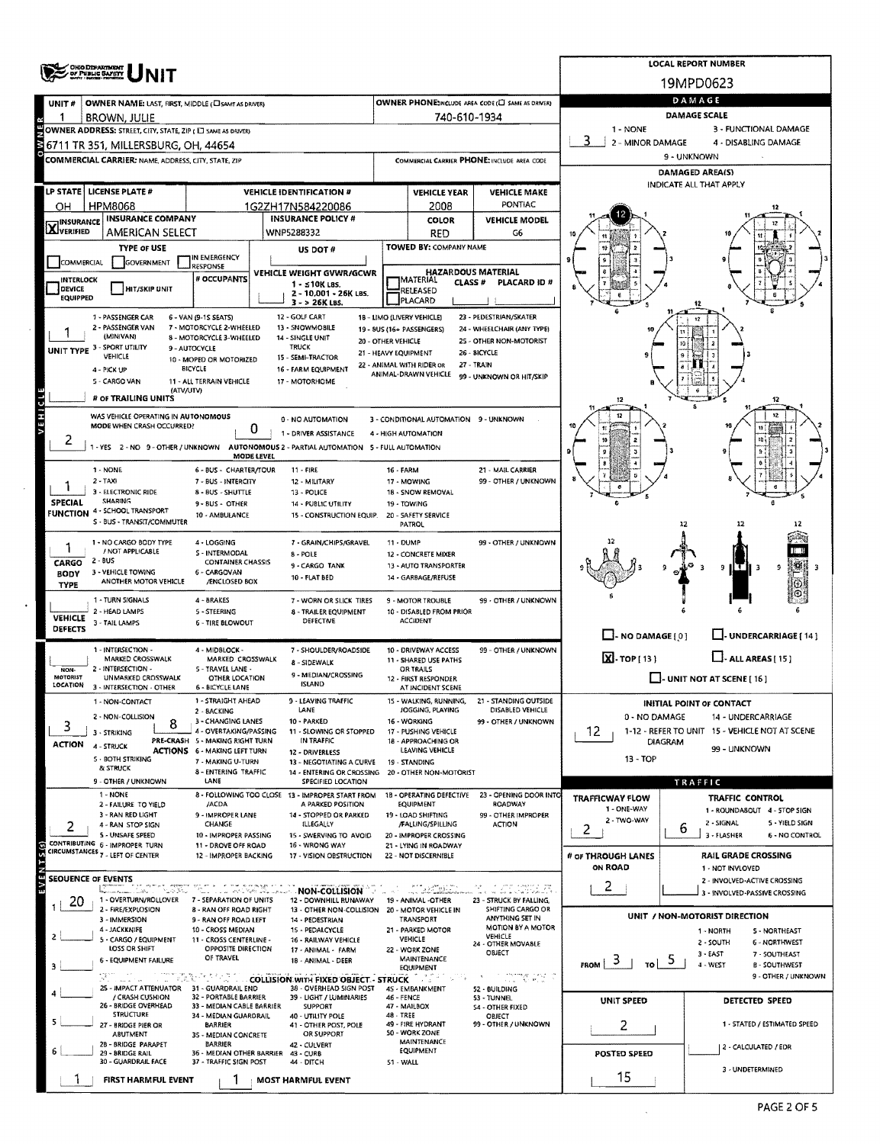|                                |                                                                     |                                                               |                                                                                          |                                                                 |                                               |                                                       |                                | <b>LOCAL REPORT NUMBER</b>                                      |  |  |  |  |  |
|--------------------------------|---------------------------------------------------------------------|---------------------------------------------------------------|------------------------------------------------------------------------------------------|-----------------------------------------------------------------|-----------------------------------------------|-------------------------------------------------------|--------------------------------|-----------------------------------------------------------------|--|--|--|--|--|
|                                | <b>ONG DEPARTMENT</b><br>OF PUBLIC <b>SAFETY</b>                    |                                                               |                                                                                          |                                                                 |                                               |                                                       |                                | 19MPD0623                                                       |  |  |  |  |  |
| UNIT#                          | OWNER NAME: LAST, FIRST, MIDDLE (CI SAME AS DRIVER)                 |                                                               |                                                                                          |                                                                 |                                               | OWNER PHONE:INCLUDE AREA CODE (C) SAME AS DRIVERY     |                                | DAMAGE                                                          |  |  |  |  |  |
|                                | BROWN, JULIE                                                        |                                                               |                                                                                          |                                                                 | 740-610-1934                                  |                                                       |                                | DAMAGE SCALE                                                    |  |  |  |  |  |
|                                | OWNER ADDRESS: STREET, CITY, STATE, ZIP (IT SAME AS DRIVER)         |                                                               |                                                                                          |                                                                 |                                               |                                                       | 1 - NONE                       | 3 - FUNCTIONAL DAMAGE                                           |  |  |  |  |  |
|                                | 6711 TR 351, MILLERSBURG, OH, 44654                                 |                                                               |                                                                                          |                                                                 |                                               |                                                       | 2 - MINOR DAMAGE               | 4 - DISABLING DAMAGE                                            |  |  |  |  |  |
|                                | <b>COMMERCIAL CARRIER: NAME, ADDRESS, CITY, STATE, ZIP</b>          |                                                               |                                                                                          | COMMERCIAL CARRIER PHONE: INCLUDE AREA CODE                     |                                               |                                                       | 9 - UNKNOWN<br>DAMAGED AREA(S) |                                                                 |  |  |  |  |  |
|                                |                                                                     |                                                               |                                                                                          |                                                                 |                                               |                                                       |                                | INDICATE ALL THAT APPLY                                         |  |  |  |  |  |
|                                | LP STATE   LICENSE PLATE #<br><b>HPM8068</b>                        |                                                               | <b>VEHICLE IDENTIFICATION #</b>                                                          |                                                                 | <b>VEHICLE YEAR</b>                           | <b>VEHICLE MAKE</b><br>PONTIAC                        |                                |                                                                 |  |  |  |  |  |
| OH                             | <b>INSURANCE COMPANY</b>                                            |                                                               | 1G2ZH17N584220086<br><b>INSURANCE POLICY #</b>                                           |                                                                 | 2008<br><b>COLOR</b>                          | <b>VEHICLE MODEL</b>                                  |                                |                                                                 |  |  |  |  |  |
| <b>X</b> INSURANCE             | AMERICAN SELECT                                                     |                                                               | WNP5288332                                                                               |                                                                 | <b>RED</b>                                    | G6                                                    |                                |                                                                 |  |  |  |  |  |
|                                | <b>TYPE OF USE</b>                                                  |                                                               | US DOT #                                                                                 |                                                                 | TOWED BY: COMPANY NAME                        |                                                       |                                |                                                                 |  |  |  |  |  |
| COMMERCIAL                     | GOVERNMENT                                                          | IN EMERGENCY<br>RESPONSE                                      | VEHICLE WEIGHT GVWR/GCWR                                                                 |                                                                 |                                               | <b>HAZARDOUS MATERIAL</b>                             |                                |                                                                 |  |  |  |  |  |
| INTERLOCK<br><b>DEVICE</b>     | HIT/SKIP UNIT                                                       | # OCCUPANTS                                                   | $1 - 510K$ LBS.                                                                          |                                                                 | MATERIAL<br>CLASS #<br>RELEASED               | <b>PLACARD ID #</b>                                   |                                |                                                                 |  |  |  |  |  |
| <b>EQUIPPED</b>                |                                                                     |                                                               | 2 - 10,001 - 26K LBS.<br>3 - > 26K LBS.                                                  |                                                                 | PLACARD                                       |                                                       |                                |                                                                 |  |  |  |  |  |
|                                | 1 - PASSENGER CAR                                                   | 6 - VAN (9-1S SEATS)                                          | 12 - GOLF CART                                                                           |                                                                 | 18 - LIMO (LIVERY VEHICLE)                    | 23 - PEDESTRIAN/SKATER                                |                                |                                                                 |  |  |  |  |  |
|                                | 2 - PASSENGER VAN<br>(MINIVAN)                                      | 7 - MOTORCYCLE 2-WHEELED<br>8 - MOTORCYCLE 3-WHEELED          | 13 - SNOWMOBILE<br>14 - SINGLE UNIT                                                      | 20 - OTHER VEHICLE                                              | 19 - BUS (16+ PASSENGERS)                     | 24 - WHEELCHAIR (ANY TYPE)<br>25 - OTHER NON-MOTORIST |                                |                                                                 |  |  |  |  |  |
|                                | UNIT TYPE 3 - SPORT UTILITY<br>VEHICLE                              | 9 - AUTOCYCLE                                                 | <b>TRUCK</b><br>15 - SEMI-TRACTOR                                                        |                                                                 | 21 - HEAVY EQUIPMENT                          | 26 - BICYCLE                                          |                                |                                                                 |  |  |  |  |  |
|                                | 4 - PICK UP                                                         | 10 - MOPED OR MOTORIZED<br>BICYCLE                            | 16 - FARM EQUIPMENT                                                                      | 22 - ANIMAL WITH RIDER OR<br>27 - TRAIN<br>ANIMAL-DRAWN VEHICLE |                                               |                                                       |                                |                                                                 |  |  |  |  |  |
|                                | 5 - CARGO VAN<br>(ATV/UTV)                                          | 11 - ALL TERRAIN VEHICLE                                      | 17 - MOTORHOME                                                                           |                                                                 |                                               | 99 - UNKNOWN OR HIT/SKIP                              |                                |                                                                 |  |  |  |  |  |
|                                | # OF TRAILING UNITS                                                 |                                                               |                                                                                          |                                                                 |                                               |                                                       | 12                             | 12                                                              |  |  |  |  |  |
| VEHICL                         | WAS VEHICLE OPERATING IN AUTONOMOUS                                 |                                                               | 0 - NO AUTOMATION                                                                        |                                                                 | 3 - CONDITIONAL AUTOMATION 9 - UNKNOWN        |                                                       |                                | 12                                                              |  |  |  |  |  |
| $\epsilon$                     | MODE WHEN CRASH OCCURRED?                                           | 0                                                             | 1 - DRIVER ASSISTANCE                                                                    |                                                                 | 4 - HIGH AUTOMATION                           |                                                       |                                |                                                                 |  |  |  |  |  |
|                                |                                                                     | <b>MODE LEVEL</b>                                             | 1 - YES 2 - NO 9 - OTHER / UNKNOWN AUTONOMOUS 2 - PARTIAL AUTOMATION 5 - FULL AUTOMATION |                                                                 |                                               |                                                       |                                |                                                                 |  |  |  |  |  |
|                                | 1 - NONE                                                            | 6 - BUS - CHARTER/TOUR                                        | $11 - FIRE$                                                                              | 21 - MAIL CARRIER<br><b>16 - FARM</b>                           |                                               |                                                       |                                |                                                                 |  |  |  |  |  |
|                                | $2 - TAYI$<br>3 - ELECTRONIC RIDE                                   | 7 - BUS - INTERCITY                                           | 12 - MILITARY                                                                            |                                                                 | 17 - MOWING                                   | 99 - OTHER / UNKNOWN                                  |                                |                                                                 |  |  |  |  |  |
| <b>SPECIAL</b>                 | <b>SHARING</b>                                                      | 8 - BUS - SHUTTLE<br>9 - BUS - OTHER                          | 13 - POLICE<br>14 - PUBLIC UTILITY                                                       |                                                                 | 18 - SNOW REMOVAL<br>19 - TOWING              |                                                       |                                |                                                                 |  |  |  |  |  |
|                                | <b>FUNCTION 4 - SCHOOL TRANSPORT</b><br>S - BUS - TRANSIT/COMMUTER  | 10 - AMBULANCE                                                | 15 - CONSTRUCTION EQUIP.                                                                 | 20 - SAFETY SERVICE<br><b>PATROL</b>                            |                                               |                                                       |                                | 12<br>12                                                        |  |  |  |  |  |
|                                | 1 - NO CARGO BODY TYPE                                              | 4 - LOGGING                                                   | 7 - GRAIN/CHIPS/GRAVEL                                                                   | 11 - DUMP                                                       |                                               | 99 - OTHER / UNKNOWN                                  |                                |                                                                 |  |  |  |  |  |
|                                | / NOT APPLICABLE                                                    | S - INTERMODAL                                                | 8 - POLE                                                                                 |                                                                 | 12 - CONCRETE MIXER                           |                                                       |                                |                                                                 |  |  |  |  |  |
| CARGO<br><b>BODY</b>           | 2 - BUS<br>3 - VEHICLE TOWING                                       | <b>CONTAINER CHASSIS</b><br>6 - CARGOVAN                      | 9-CARGO TANK                                                                             |                                                                 | 13 - AUTO TRANSPORTER                         |                                                       |                                | 9<br>9<br>E.                                                    |  |  |  |  |  |
| <b>TYPE</b>                    | ANOTHER MOTOR VEHICLE                                               | /ENCLOSED BOX                                                 | 10 - FLAT BED                                                                            |                                                                 | 14 - GARBAGE/REFUSE                           |                                                       |                                |                                                                 |  |  |  |  |  |
|                                | 1 - TURN SIGNALS                                                    | 4 - BRAKES                                                    | 7 - WORN OR SLICK TIRES                                                                  |                                                                 | 9 - MOTOR TROUBLE                             | 99 - OTHER / UNKNOWN                                  |                                |                                                                 |  |  |  |  |  |
| <b>VEHICLE</b>                 | 2 - HEAD LAMPS<br>3 - TAIL LAMPS                                    | 5 - STEERING<br><b>6 - TIRE BLOWOUT</b>                       | 8 - TRAILER EQUIPMENT<br>DEFECTIVE                                                       |                                                                 | 10 - DISABLED FROM PRIOR<br><b>ACCIDENT</b>   |                                                       |                                |                                                                 |  |  |  |  |  |
| <b>DEFECTS</b>                 |                                                                     |                                                               |                                                                                          |                                                                 |                                               |                                                       | $\Box$ - NO DAMAGE $\{0\}$     | J- UNDERCARRIAGE [ 14 ]                                         |  |  |  |  |  |
|                                | 1 - INTERSECTION -<br>MARKED CROSSWALK                              | 4 - MIDBLOCK -<br>MARKED CROSSWALK                            | 7 - SHOULDER/ROADSIDE                                                                    |                                                                 | 10 - DRIVEWAY ACCESS<br>11 - SHARED USE PATHS | 99 - OTHER / UNKNOWN                                  | X. TOP [ 13 ]                  | $L$ -ALL AREAS [15]                                             |  |  |  |  |  |
| <b>NON-</b><br><b>MOTORIST</b> | 2 - INTERSECTION -<br>UNMARKED CROSSWALK                            | 5 - TRAVEL LANE -                                             | 8 - SIDEWALK<br>9 - MEDIAN/CROSSING                                                      |                                                                 | OR TRAILS                                     |                                                       |                                |                                                                 |  |  |  |  |  |
| LOCATION                       | 3 - INTERSECTION - OTHER                                            | OTHER LOCATION<br><b>6 - BICYCLE LANE</b>                     | ISLAND                                                                                   |                                                                 | 12 - FIRST RESPONDER<br>AT INCIDENT SCENE     |                                                       |                                | $\Box$ - UNIT NOT AT SCENE [ 16 ]                               |  |  |  |  |  |
|                                | 1 - NON-CONTACT                                                     | 1 - STRAIGHT AHEAD<br>2 - BACKING                             | - LEAVING TRAFFIC<br>LANE                                                                |                                                                 | WALKING, RUNNING,<br>JOGGING, PLAYING         | - STANDING OUTSIDE<br>DISABLED VEHICLE                |                                | <b>INITIAL POINT OF CONTACT</b>                                 |  |  |  |  |  |
| 3                              | 2 - NON-COLLISION<br>8                                              | 3 - CHANGING LANES                                            | 10 - PARKED                                                                              |                                                                 | 16 - WORKING                                  | 99 - OTHER / UNKNOWN                                  | 0 - NO DAMAGE                  | 14 - UNDERCARRIAGE                                              |  |  |  |  |  |
| <b>ACTION</b>                  | 3 - STRIKING                                                        | 4 - OVERTAKING/PASSING<br>PRE-CRASH 5 - MAKING RIGHT TURN     | 11 - SLOWING OR STOPPED<br>IN TRAFFIC                                                    |                                                                 | 17 - PUSHING VEHICLE<br>18 - APPROACHING OR   |                                                       | 12<br><b>DIAGRAM</b>           | 1-12 - REFER TO UNIT 15 - VEHICLE NOT AT SCENE                  |  |  |  |  |  |
|                                | 4 - STRUCK<br>5 - BOTH STRIKING                                     | <b>ACTIONS 6 - MAKING LEFT TURN</b><br>7 - MAKING U-TURN      | 12 - DRIVERLESS                                                                          |                                                                 | LEAVING VEHICLE                               |                                                       | $13 - TOP$                     | 99 - UNKNOWN                                                    |  |  |  |  |  |
|                                | & STRUCK                                                            | 8 - ENTERING TRAFFIC                                          | 13 - NEGOTIATING A CURVE<br>14 - ENTERING OR CROSSING                                    | 19 - STANDING<br>20 - OTHER NON-MOTORIST                        |                                               |                                                       |                                |                                                                 |  |  |  |  |  |
|                                | 9 - OTHER / UNKNOWN<br>1 - NONE                                     | LANE                                                          | SPECIFIED LOCATION                                                                       |                                                                 |                                               |                                                       |                                | TRAFFIC                                                         |  |  |  |  |  |
|                                | 2 - FAILURE TO YIELD                                                | /ACDA                                                         | 8 - FOLLOWING TOO CLOSE 13 - IMPROPER START FROM<br>A PARKED POSITION                    |                                                                 | 18 - OPERATING DEFECTIVE<br>EQUIPMENT         | 23 - OPENING DOOR INTO<br>ROADWAY                     | TRAFFICWAY FLOW<br>1 - ONE-WAY | TRAFFIC CONTROL<br>1 - ROUNDASOUT 4 - STOP SIGN                 |  |  |  |  |  |
|                                | 3 - RAN RED LIGHT<br>4 - RAN STOP SIGN                              | 9 - IMPROPER LANE<br>CHANGE                                   | 14 - STOPPED OR PARKED<br>ILLEGALLY                                                      |                                                                 | 19 - LOAD SHIFTING<br>/FALLING/SPILLING       | 99 - OTHER IMPROPER<br><b>ACTION</b>                  | 2 - TWO-WAY                    | 2 - SIGNAL<br>5 - YIELD SIGN                                    |  |  |  |  |  |
|                                | 5 - UNSAFE SPEED<br>CONTRIBUTING 6 - IMPROPER TURN                  | 10 - IMPROPER PASSING                                         | 15 - SWERVING TO AVOID                                                                   |                                                                 | 20 - IMPROPER CROSSING                        |                                                       | 2                              | ь<br>3 - FLASHER<br>6 - NO CONTROL                              |  |  |  |  |  |
| EVENTS <sub>(S)</sub>          | CIRCUMSTANCES 7 - LEFT OF CENTER                                    | 11 - DROVE OFF ROAD<br>12 - IMPROPER BACKING                  | 16 - WRONG WAY<br>17 - VISION OBSTRUCTION                                                |                                                                 | 21 - LYING IN ROADWAY<br>22 - NOT DISCERNIBLE |                                                       | # OF THROUGH LANES             | <b>RAIL GRADE CROSSING</b>                                      |  |  |  |  |  |
| <b>SEQUENCE OF EVENTS</b>      |                                                                     |                                                               |                                                                                          |                                                                 |                                               |                                                       | ON ROAD                        | 1 - NOT INVLOVED                                                |  |  |  |  |  |
|                                | Martinez Account Library<br>たいさつ                                    | 10. L                                                         | <b>Collision</b> (2004) A December <b>NON-COLLISION</b>                                  |                                                                 |                                               | . II. KOLA                                            | 2                              | 2 - INVOLVED-ACTIVE CROSSING<br>3 - INVOLVED-PASSIVE CROSSING   |  |  |  |  |  |
| 20                             | 1 - OVERTURN/ROLLOVER 7 - SEPARATION OF UNITS<br>2 - FIRE/EXPLOSION | <b>8 - RAN OFF ROAD RIGHT</b>                                 | 12 - DOWNHILL RUNAWAY<br>13 - OTHER NON-COLLISION 20 - MOTOR VEHICLE IN                  |                                                                 | 19 - ANIMAL -OTHER                            | 23 - STRUCK BY FALLING,<br>SHIFTING CARGO OR          |                                |                                                                 |  |  |  |  |  |
|                                | 3 - IMMERSION<br>4 - JACKKNIFE                                      | 9 - RAN OFF ROAD LEFT                                         | 14 - PEDESTRIAN<br>15 - PEDALCYCLE                                                       |                                                                 | TRANSPORT                                     | ANYTHING SET IN<br>MOTION BY A MOTOR                  |                                | UNIT / NON-MOTORIST DIRECTION                                   |  |  |  |  |  |
|                                | S - CARGO / EQUIPMENT                                               | 10 - CROSS MEDIAN<br>11 - CROSS CENTERLINE -                  | 16 - RAILWAY VEHICLE                                                                     |                                                                 | 21 - PARKED MOTOR<br>VEHICLE                  | VEHICLE<br>24 - OTHER MOVABLE                         |                                | 1 - NORTH<br><b>5 - NORTHEAST</b><br>2 - SOUTH<br>6 - NORTHWEST |  |  |  |  |  |
|                                | LOSS OR SHIFT<br>6 - EQUIPMENT FAILURE                              | OPPOSITE DIRECTION<br>OF TRAVEL                               | 17 - ANIMAL - FARM<br>18 - ANIMAL - DEER                                                 |                                                                 | 22 - WORK ZONE<br>MAINTENANCE                 | OBJECT                                                | $\frac{5}{10}$                 | $3 - EAST$<br>7 - SOUTHEAST                                     |  |  |  |  |  |
|                                |                                                                     |                                                               | <b>EXAMPLE 2012 COLLISION WITH FIXED OBJECT - STRUCK</b>                                 |                                                                 | EQUIPMENT                                     |                                                       | $_{\text{FROM}}$ 3             | 4 - WEST<br><b>B-SOUTHWEST</b><br>9 - OTHER / UNKNOWN           |  |  |  |  |  |
|                                | Protocol and Control<br>25 - IMPACT ATTENUATOR 31 - GUARDRAIL END   |                                                               | 38 - OVERHEAD SIGN POST                                                                  |                                                                 | 45 - EMBANKMENT                               | 52 - BUILDING                                         |                                |                                                                 |  |  |  |  |  |
|                                | / CRASH CUSHION<br>26 - BRIDGE OVERHEAD                             | 32 - PORTABLE BARRIER<br>33 - MEDIAN CABLE BARRIER            | 39 - LIGHT / LUMINARIES<br>SUPPORT                                                       | 46 - FENCE                                                      | 47 - MAILBOX                                  | 53 - TUNNEL<br><b>S4 - OTHER FIXED</b>                | UNIT SPEED                     | DETECTED SPEED                                                  |  |  |  |  |  |
|                                | <b>STRUCTURE</b><br>27 - BRIDGE PIER OR                             | 34 - MEDIAN GUARDRAIL<br><b>BARRIER</b>                       | 40 - UTILITY POLE<br>41 - OTHER POST, POLE                                               | 48 - TREE                                                       | 49 - FIRE HYDRANT                             | OBJECT<br>99 - OTHER / UNKNOWN                        | 2                              | 1 - STATED / ESTIMATED SPEED                                    |  |  |  |  |  |
|                                | <b>ABUTMENT</b><br>28 - BRIDGE PARAPET                              | 35 - MEDIAN CONCRETE<br><b>BARRIER</b>                        | OR SUPPORT<br>42 - CULVERT                                                               |                                                                 | 50 - WORK ZONE<br>MAINTENANCE                 |                                                       |                                |                                                                 |  |  |  |  |  |
|                                | 29 - BRIDGE RAIL<br>30 - GUARDRAIL FACE                             | 36 - MEDIAN OTHER BARRIER 43 - CURB<br>37 - TRAFFIC SIGN POST | 44 - DITCH                                                                               |                                                                 | EQUIPMENT                                     |                                                       | POSTED SPEED                   | 2 - CALCULATED / EDR                                            |  |  |  |  |  |
|                                |                                                                     |                                                               |                                                                                          | 51 - WALL                                                       |                                               |                                                       | 15                             | 3 - UNDETERMINED                                                |  |  |  |  |  |
|                                | FIRST HARMFUL EVENT                                                 |                                                               | <b>MOST HARMFUL EVENT</b>                                                                |                                                                 |                                               |                                                       |                                |                                                                 |  |  |  |  |  |

 $\hat{\mathcal{A}}$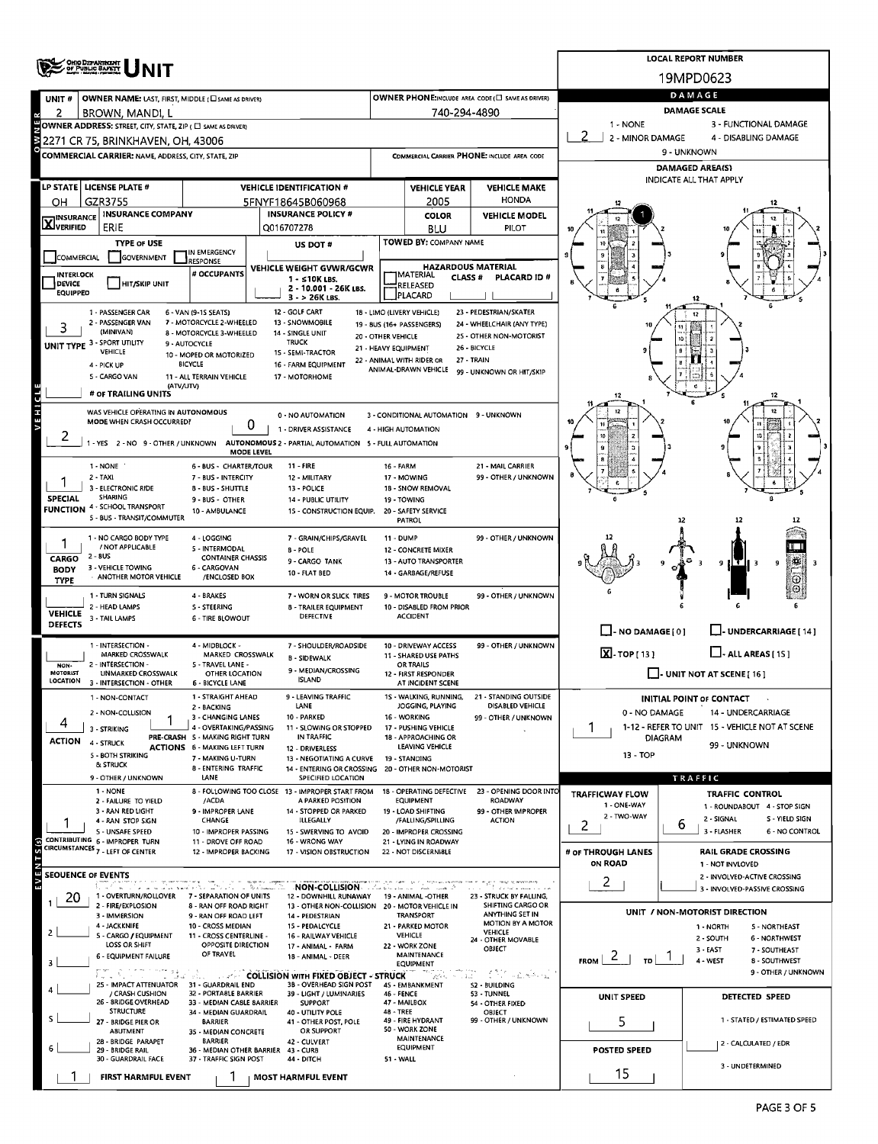|                                       | OHIO DEPARTMENT                                                                                       |                                                                                                               |                                                                        |                      |                                                               |                                                                                             |                                       | <b>LOCAL REPORT NUMBER</b>                                       |  |  |  |
|---------------------------------------|-------------------------------------------------------------------------------------------------------|---------------------------------------------------------------------------------------------------------------|------------------------------------------------------------------------|----------------------|---------------------------------------------------------------|---------------------------------------------------------------------------------------------|---------------------------------------|------------------------------------------------------------------|--|--|--|
|                                       |                                                                                                       |                                                                                                               |                                                                        |                      |                                                               |                                                                                             |                                       | 19MPD0623                                                        |  |  |  |
| UNIT#                                 | OWNER NAME: LAST, FIRST, MIDDLE ( LSAME AS DRIVER)                                                    |                                                                                                               |                                                                        |                      |                                                               | OWNER PHONE:INCLUDE AREA CODE (E) SAME AS ORIVER)                                           |                                       | DAMAGE                                                           |  |  |  |
| 2                                     | BROWN, MANDI, L                                                                                       |                                                                                                               |                                                                        |                      | 740-294-4890                                                  |                                                                                             | 1 - NONE                              | <b>DAMAGE SCALE</b><br>3 - FUNCTIONAL DAMAGE                     |  |  |  |
|                                       | OWNER ADDRESS: STREET, CITY, STATE, ZIP ( $\Box$ same as DRIVER)<br>2271 CR 75, BRINKHAVEN, OH, 43006 |                                                                                                               |                                                                        |                      |                                                               |                                                                                             | 2 - MINOR DAMAGE                      | 4 - DISABLING DAMAGE                                             |  |  |  |
|                                       | COMMERCIAL CARRIER: NAME, ADDRESS, CITY, STATE, ZIP                                                   |                                                                                                               |                                                                        |                      |                                                               | COMMERCIAL CARRIER PHONE: INCLUDE AREA CODE                                                 |                                       | 9 - UNKNOWN                                                      |  |  |  |
|                                       |                                                                                                       |                                                                                                               |                                                                        |                      |                                                               |                                                                                             |                                       | <b>DAMAGED AREA(S)</b>                                           |  |  |  |
|                                       | LP STATE  LICENSE PLATE #                                                                             |                                                                                                               | <b>VEHICLE IDENTIFICATION #</b>                                        |                      | <b>VEHICLE YEAR</b>                                           | <b>VEHICLE MAKE</b>                                                                         |                                       | INDICATE ALL THAT APPLY                                          |  |  |  |
| он                                    | GZR3755                                                                                               |                                                                                                               | 5FNYF18645B060968                                                      |                      | 2005                                                          | <b>HONDA</b>                                                                                |                                       |                                                                  |  |  |  |
| <b>INSURANCE</b><br><b>X</b> INSURALS | <b>INSURANCE COMPANY</b><br>ERIE                                                                      |                                                                                                               | <b>INSURANCE POLICY #</b><br>Q016707278                                |                      | <b>COLOR</b><br><b>BLU</b>                                    | <b>VEHICLE MODEL</b><br>PILOT                                                               |                                       |                                                                  |  |  |  |
|                                       | <b>TYPE OF USE</b>                                                                                    |                                                                                                               | US DOT #                                                               |                      | TOWED BY: COMPANY NAME                                        |                                                                                             |                                       |                                                                  |  |  |  |
| <b>COMMERCIAL</b>                     | <b>GOVERNMENT</b>                                                                                     | IN EMERGENCY<br><b>RESPONSE</b>                                                                               |                                                                        |                      |                                                               |                                                                                             | s                                     |                                                                  |  |  |  |
| <b>INTERLOCK</b>                      |                                                                                                       | # OCCUPANTS                                                                                                   | VEHICLE WEIGHT GVWR/GCWR<br>$1 - 510K$ LBS.                            |                      | <b>HAZARDOUS MATERIAL</b><br><b>MATERIAL</b><br><b>CLASS#</b> | PLACARD ID#                                                                                 |                                       |                                                                  |  |  |  |
| <b>DEVICE</b><br><b>EQUIPPED</b>      | <b>HIT/SKIP UNIT</b>                                                                                  |                                                                                                               | 2 - 10.001 - 26K LBS.<br>3 - > 26K LBS.                                |                      | RELEASED<br>PLACARD                                           |                                                                                             |                                       |                                                                  |  |  |  |
|                                       | 1 - PASSENGER CAR                                                                                     | 6 - VAN (9-15 SEATS)                                                                                          | 12 - GOLF CART                                                         |                      | 18 - LIMO (LIVERY VEHICLE)                                    | 23 - PEDESTRIAN/SKATER                                                                      |                                       |                                                                  |  |  |  |
| 3                                     | 2 - PASSENGER VAN<br>(MINIVAN)                                                                        | 7 - MOTORCYCLE 2-WHEELED<br>8 - MOTORCYCLE 3-WHEELED                                                          | 13 - SNOWMOBILE<br>14 - SINGLE UNIT                                    | 20 - OTHER VEHICLE   | 19 - 8US (16+ PASSENGERS)                                     | 24 - WHEELCHAIR (ANY TYPE)<br>25 - OTHER NON-MOTORIST                                       |                                       |                                                                  |  |  |  |
|                                       | UNIT TYPE 3 - SPORT UTILITY<br>VEHICLE                                                                | 9 - AUTOCYCLE                                                                                                 | <b>TRUCK</b><br>15 - SEMI-TRACTOR                                      | 21 - HEAVY EQUIPMENT |                                                               | 26 - BICYCLE                                                                                |                                       |                                                                  |  |  |  |
|                                       | 4 - PICK UP                                                                                           | 10 - MOPED OR MOTORIZED<br><b>BICYCLE</b>                                                                     | 16 - FARM EQUIPMENT                                                    |                      | 22 - ANIMAL WITH RIDER OR<br>ANIMAL-DRAWN VEHICLE             | 27 - TRAIN<br>99 - UNKNOWN OR HIT/SKIP                                                      |                                       |                                                                  |  |  |  |
|                                       | 5 - CARGO VAN<br>(ATV/UTV)                                                                            | 11 - ALL TERRAIN VEHICLE                                                                                      | 17 - MOTORHOME                                                         |                      |                                                               |                                                                                             |                                       |                                                                  |  |  |  |
| VEHICL                                | # OF TRAILING UNITS                                                                                   |                                                                                                               |                                                                        |                      |                                                               |                                                                                             |                                       |                                                                  |  |  |  |
|                                       | WAS VEHICLE OPERATING IN AUTONOMOUS<br>MODE WHEN CRASH OCCURRED?                                      |                                                                                                               | 0 - NO AUTOMATION                                                      |                      | 3 - CONDITIONAL AUTOMATION 9 - UNKNOWN                        |                                                                                             |                                       |                                                                  |  |  |  |
| $\mathbf{z}$                          |                                                                                                       | 0                                                                                                             | 1 - DRIVER ASSISTANCE                                                  |                      | 4 - HIGH AUTOMATION                                           |                                                                                             |                                       |                                                                  |  |  |  |
|                                       |                                                                                                       | 1 - YES 2 - NO 9 - OTHER / UNKNOWN AUTONOMOUS 2 - PARTIAL AUTOMATION 5 - FULL AUTOMATION<br><b>MODE LEVEL</b> |                                                                        |                      |                                                               |                                                                                             |                                       |                                                                  |  |  |  |
|                                       | 1 - NONE                                                                                              | 6 - BUS - CHARTER/TOUR                                                                                        | 11 - FIRE                                                              | 16 - FARM            |                                                               | 21 - MAIL CARRIER                                                                           |                                       |                                                                  |  |  |  |
|                                       | 2 TAXI<br>3 - ELECTRONIC RIDE                                                                         | 7 - BUS - INTERCITY<br><b>B - BUS - SHUTTLE</b>                                                               | 12 - MILITARY<br>13 - POLICE                                           |                      | 17 - MOWING<br>18 - SNOW REMOVAL                              | 99 - OTHER / UNKNOWN                                                                        |                                       |                                                                  |  |  |  |
| <b>SPECIAL</b>                        | SHARING<br><b>FUNCTION 4 - SCHOOL TRANSPORT</b>                                                       | 9 - BUS - OTHER                                                                                               | 14 - PUBLIC UTILITY                                                    |                      | 19 - TOWING                                                   |                                                                                             |                                       |                                                                  |  |  |  |
|                                       | 5 - BUS - TRANSIT/COMMUTER                                                                            | 10 - AMBULANCE                                                                                                | 15 - CONSTRUCTION EQUIP.                                               |                      | 20 - SAFETY SERVICE<br>PATROL                                 |                                                                                             |                                       | 12<br>12                                                         |  |  |  |
|                                       | 1 - NO CARGO BODY TYPE                                                                                | 4 - LOGGING                                                                                                   | 7 - GRAIN/CHIPS/GRAVEL                                                 | <b>11 - DUMP</b>     |                                                               | 99 - OTHER / UNKNOWN                                                                        |                                       |                                                                  |  |  |  |
| CARGO                                 | / NOT APPLICABLE<br>2 - 8US                                                                           | 5 - INTERMODAL<br><b>CONTAINER CHASSIS</b>                                                                    | 8 - POLE<br>9 - CARGO TANK                                             |                      | 12 - CONCRETE MIXER<br>13 - AUTO TRANSPORTER                  |                                                                                             |                                       | s<br>9<br>9                                                      |  |  |  |
| <b>BODY</b><br><b>TYPE</b>            | 3 - VEHICLE TOWING<br>ANOTHER MOTOR VEHICLE                                                           | 6 - CARGOVAN<br>/ENCLOSED BOX                                                                                 | 10 - FLAT BED                                                          |                      | 14 - GARSAGE/REFUSE                                           |                                                                                             |                                       | -3<br>. .<br>$\odot$                                             |  |  |  |
|                                       | 1 - TURN SIGNALS                                                                                      | 4 - BRAKES                                                                                                    | 7 - WORN OR SLICK TIRES                                                |                      | 9 - MOTOR TROUBLE                                             | 99 - OTHER / UNKNOWN                                                                        |                                       |                                                                  |  |  |  |
| <b>VEHICLE</b>                        | 2 - HEAD LAMPS                                                                                        | <b>S - STEERING</b>                                                                                           | 8 - TRAILER EQUIPMENT<br>DEFECTIVE                                     |                      | 10 - DISABLED FROM PRIOR<br><b>ACCIDENT</b>                   |                                                                                             |                                       |                                                                  |  |  |  |
| <b>DEFECTS</b>                        | 3 - TAIL LAMPS                                                                                        | 6 - TIRE BLOWOUT                                                                                              |                                                                        |                      |                                                               |                                                                                             | $\Box$ - NO DAMAGE [ 0 ]              | J- UNDERCARRIAGE [ 14 ]                                          |  |  |  |
|                                       | 1 - INTERSECTION -                                                                                    | 4 - MIDBLOCK -                                                                                                | 7 - SHOULDER/ROADSIDE                                                  |                      | 10 - DRIVEWAY ACCESS                                          | 99 - OTHER / UNKNOWN                                                                        |                                       |                                                                  |  |  |  |
| NON-                                  | MARKED CROSSWALK<br>2 - INTERSECTION -                                                                | MARKED CROSSWALK<br>5 - TRAVEL LANE -                                                                         | <b>B - SIDEWALK</b>                                                    |                      | 11 - SHARED USE PATHS<br><b>OR TRAILS</b>                     |                                                                                             | $X - \text{top}$ [13]                 | $\Box$ - ALL AREAS [ 15 ]                                        |  |  |  |
| MOTORIST<br>LOCATION                  | <b>UNMARKED CROSSWALK</b><br>3 - INTERSECTION - OTHER                                                 | OTHER LOCATION<br><b>6 - BICYCLE LANE</b>                                                                     | 9 - MEDIAN/CROSSING<br><b>ISLAND</b>                                   |                      | 12 - FIRST RESPONDER<br>AT INCIDENT SCENE                     |                                                                                             |                                       | $\Box$ - UNIT NOT AT SCENE [ 16 ]                                |  |  |  |
|                                       | NON-CONTACT                                                                                           | 1 - STRAIGHT AHEAD                                                                                            | 9 - LEAVING TRAFFIC                                                    |                      |                                                               | 1S - WALKING, RUNNING. 21 - STANDING OUTSIDE                                                |                                       | <b>INITIAL POINT OF CONTACT</b>                                  |  |  |  |
|                                       | 2 - NON-COLLISION                                                                                     | 2 - BACKING<br>3 - CHANGING LANES                                                                             | LANE<br>10 - PARKED                                                    |                      | JOGGING, PLAYING<br>16 - WORKING                              | DISABLED VEHICLE<br>99 - OTHER / UNKNOWN                                                    | 0 - NO DAMAGE                         | 14 - UNDERCARRIAGE                                               |  |  |  |
| 4                                     | 3 - STRIKING                                                                                          | 4 - OVERTAKING/PASSING<br>PRE-CRASH 5 - MAKING RIGHT TURN                                                     | 11 - SLOWING OR STOPPED<br>IN TRAFFIC                                  |                      | 17 - PUSHING VEHICLE<br>18 - APPROACHING OR                   |                                                                                             | 1<br><b>DIAGRAM</b>                   | 1-12 - REFER TO UNIT 15 - VEHICLE NOT AT SCENE                   |  |  |  |
| <b>ACTION</b>                         | 4 - STRUCK<br>5 - BOTH STRIKING                                                                       | <b>ACTIONS 6 - MAKING LEFT TURN</b>                                                                           | 12 - DRIVERLESS                                                        |                      | LEAVING VEHICLE                                               |                                                                                             | 13 - TOP                              | 99 - UNKNOWN                                                     |  |  |  |
|                                       | & STRUCK                                                                                              | 7 - MAKING U-TURN<br><b>8 - ENTERING TRAFFIC</b>                                                              | 13 - NEGOTIATING A CURVE<br>14 - ENTERING OR CROSSING                  |                      | 19 - STANDING<br>20 - OTHER NON-MOTORIST                      |                                                                                             |                                       |                                                                  |  |  |  |
|                                       | 9 - OTHER / UNKNOWN<br>1 - NONE                                                                       | LANE                                                                                                          | SPECIFIED LOCATION<br>8 - FOLLOWING TOO CLOSE 13 - IMPROPER START FROM |                      | 18 - OPERATING DEFECTIVE                                      | 23 - OPENING DOOR INTO                                                                      |                                       | <b>TRAFFIC</b>                                                   |  |  |  |
|                                       | 2 - FAILURE TO YIELD                                                                                  | /ACDA                                                                                                         | A PARKED POSITION                                                      |                      | <b>EQUIPMENT</b>                                              | ROADWAY                                                                                     | <b>TRAFFICWAY FLOW</b><br>1 - ONE-WAY | <b>TRAFFIC CONTROL</b><br>1 - ROUNDABOUT 4 - STOP SIGN           |  |  |  |
|                                       | 3 - RAN RED LIGHT<br>4 - RAN STOP SIGN                                                                | 9 - IMPROPER LANE<br>CHANGE                                                                                   | 14 - STOPPED OR PARKED<br><b>ILLEGALLY</b>                             |                      | 19 - LOAD SHIFTING<br>/FALLING/SPILLING                       | 99 - OTHER IMPROPER<br><b>ACTION</b>                                                        | 2 - TWO-WAY<br>2                      | 2 - SIGNAL<br>S - YIELD SIGN<br>6                                |  |  |  |
|                                       | <b>S - UNSAFE SPEED</b><br>CONTRIBUTING 6 - IMPROPER TURN                                             | 10 - IMPROPER PASSING<br>11 - DROVE OFF ROAD                                                                  | 15 - SWERVING TO AVOID<br>16 - WRONG WAY                               |                      | 20 - IMPROPER CROSSING<br>21 - LYING IN ROADWAY               |                                                                                             |                                       | 3 - FLASHER<br>6 - NO CONTROL                                    |  |  |  |
| $\overline{\mathbf{s}}$ (s)           | CIRCUMSTANCES 7 - LEFT OF CENTER                                                                      | 12 - IMPROPER BACKING                                                                                         | 17 - VISION OBSTRUCTION                                                |                      | 22 - NOT DISCERNIBLE                                          |                                                                                             | # OF THROUGH LANES                    | <b>RAIL GRADE CROSSING</b>                                       |  |  |  |
| SEOUENCE OF EVENTS                    |                                                                                                       |                                                                                                               |                                                                        |                      |                                                               |                                                                                             | ON ROAD                               | 1 - NOT INVLOVED<br>2 - INVOLVED-ACTIVE CROSSING                 |  |  |  |
| 20                                    | 1 - OVERTURN/ROLLOVER                                                                                 | 7 - SEPARATION OF UNITS                                                                                       | NON-COLLISION AND<br>12 - DOWNHILL RUNAWAY                             |                      | 19 - ANIMAL -OTHER                                            | menger may neereste kan ingen<br>of a world or against a control<br>23 - STRUCK BY FALLING, | 2 <sub>1</sub>                        | 3 - INVOLVED-PASSIVE CROSSING                                    |  |  |  |
|                                       | 2 - FIRE/EXPLOSION<br>3 - IMMERSION                                                                   | 8 - RAN OFF ROAD RIGHT<br>9 - RAN OFF ROAD LEFT                                                               | 13 - OTHER NON-COLLISION 20 - MOTOR VEHICLE IN<br>14 - PEDESTRIAN      |                      | <b>TRANSPORT</b>                                              | SHIFTING CARGO OR<br>ANYTHING SET IN                                                        |                                       | UNIT / NON-MOTORIST DIRECTION                                    |  |  |  |
|                                       | 4 - JACKKNIFE                                                                                         | 10 - CROSS MEDIAN                                                                                             | 15 - PEDALCYCLE                                                        |                      | 21 - PARKED MOTOR                                             | MOTION BY A MOTOR<br>VEHICLE                                                                |                                       | 1 - NORTH<br><b>S-NORTHEAST</b>                                  |  |  |  |
|                                       | 5 - CARGO / EQUIPMENT<br>LOSS OR SHIFT                                                                | 11 - CROSS CENTERLINE -<br>OPPOSITE DIRECTION                                                                 | 16 - RAILWAY VEHICLE<br>17 - ANIMAL - FARM                             |                      | <b>VEHICLE</b><br>22 - WORK ZONE                              | 24 - OTHER MOVABLE<br>OBJECT                                                                |                                       | 2 - SOUTH<br><b>6 - NORTHWEST</b><br>$3 - EAST$<br>7 - SOUTHEAST |  |  |  |
| 3                                     | 6 - EQUIPMENT FAILURE                                                                                 | OF TRAVEL                                                                                                     | 18 - ANIMAL - DEER                                                     |                      | MAINTENANCE<br>EQUIPMENT                                      |                                                                                             | FROM $2 \mid r_{D}$ 1                 | 4 - WEST<br>8 - SOUTHWEST                                        |  |  |  |
|                                       | 75 u<br>25 - IMPACT ATTENUATOR 31 - GUARDRAIL END                                                     |                                                                                                               | <b>COLLISION WITH FIXED OBJECT - STRUCK</b><br>3B - OVERHEAD SIGN POST |                      | オウト<br>45 - EMBANKMENT                                        | 337 - 2.55 p.<br>52 BUILDING                                                                |                                       | 9 - OTHER / UNKNOWN                                              |  |  |  |
|                                       | / CRASH CUSHION<br>26 - 8RIDGE OVERHEAD                                                               | 32 - PORTABLE BARRIER<br>33 - MEDIAN CABLE BARRIER                                                            | 39 - LIGHT / LUMINARIES<br><b>SUPPORT</b>                              | 46 - FENCE           | 47 - MAILBOX                                                  | 53 - TUNNEL<br>54 - OTHER FIXED                                                             | UNIT SPEED                            | DETECTED SPEED                                                   |  |  |  |
|                                       | <b>STRUCTURE</b>                                                                                      | 34 - MEDIAN GUARDRAIL                                                                                         | 40 - UTILITY POLE                                                      | 48 - TREE            | 49 - FIRE HYDRANT                                             | OBJECT<br>99 - OTHER / UNKNOWN                                                              |                                       | 1 - STATED / ESTIMATED SPEED                                     |  |  |  |
|                                       | 27 - BRIDGE PIER OR<br><b>ABUTMENT</b>                                                                | <b>BARRIER</b><br>35 - MEDIAN CONCRETE                                                                        | 41 - OTHER POST, POLE<br>OR SUPPORT                                    |                      | 50 - WORK ZONE<br><b>MAINTENANCE</b>                          |                                                                                             | 5                                     |                                                                  |  |  |  |
|                                       | 28 - BRIDGE PARAPET<br>29 - BRIDGE RAIL                                                               | <b>BARRIER</b><br>36 - MEDIAN OTHER BARRIER 43 - CURB                                                         | 42 - CULVERT                                                           |                      | EQUIPMENT                                                     |                                                                                             | <b>POSTED SPEED</b>                   | 2 - CALCULATED / EDR                                             |  |  |  |
|                                       | 30 - GUARDRAIL FACE                                                                                   | 37 - TRAFFIC SIGN POST                                                                                        | 44 - DITCH                                                             | 51 - WALL            |                                                               |                                                                                             |                                       | 3 - UNDETERMINED                                                 |  |  |  |
|                                       | FIRST HARMFUL EVENT                                                                                   |                                                                                                               | MOST HARMFUL EVENT                                                     |                      |                                                               |                                                                                             | 15                                    |                                                                  |  |  |  |